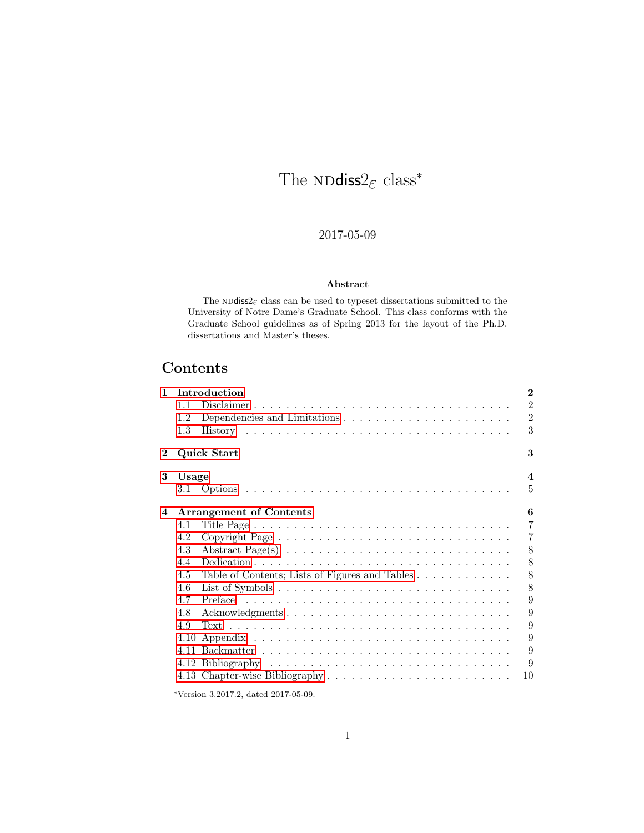# The  $\texttt{NDdiss2}_\mathcal{E}$  class\*

## 2017-05-09

#### Abstract

The  $\texttt{NDdiss2}_{\mathcal E}$  class can be used to type<br>set dissertations submitted to the University of Notre Dame's Graduate School. This class conforms with the Graduate School guidelines as of Spring 2013 for the layout of the Ph.D. dissertations and Master's theses.

## Contents

| $\mathbf{1}$ | Introduction |                                                                                          |                  |  |
|--------------|--------------|------------------------------------------------------------------------------------------|------------------|--|
|              | 11           | Disclaimer                                                                               | $\overline{2}$   |  |
|              | 1.2          |                                                                                          | $\overline{2}$   |  |
|              | 1.3          |                                                                                          | 3                |  |
| $\bf{2}$     |              | <b>Quick Start</b>                                                                       | 3                |  |
| 3            | Usage        |                                                                                          | $\boldsymbol{4}$ |  |
|              |              |                                                                                          | 5                |  |
| 4            |              | <b>Arrangement of Contents</b>                                                           | 6                |  |
|              | 4.1          |                                                                                          | $\overline{7}$   |  |
|              | 4.2          |                                                                                          | $\overline{7}$   |  |
|              | 4.3          | Abstract Page(s) $\ldots \ldots \ldots \ldots \ldots \ldots \ldots \ldots \ldots \ldots$ | 8                |  |
|              | 4.4          |                                                                                          | 8                |  |
|              | 4.5          | Table of Contents; Lists of Figures and Tables                                           | 8                |  |
|              | 4.6          |                                                                                          | 8                |  |
|              | 4.7          |                                                                                          | 9                |  |
|              | 4.8          | Acknowledgments                                                                          | 9                |  |
|              | 4.9          |                                                                                          | 9                |  |
|              | 4.10         |                                                                                          | 9                |  |
|              |              |                                                                                          | 9                |  |
|              |              |                                                                                          | 9                |  |
|              |              |                                                                                          | 10               |  |

<sup>∗</sup>Version 3.2017.2, dated 2017-05-09.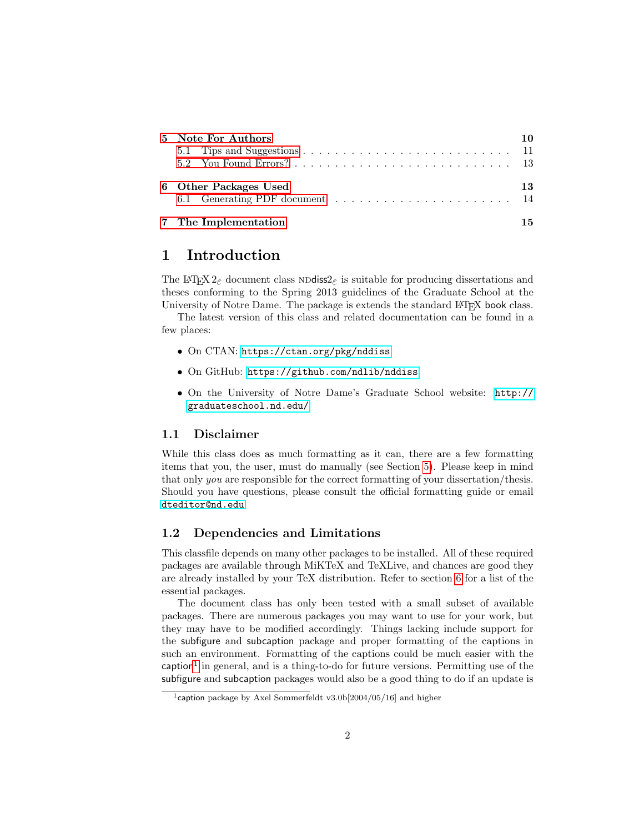| 5 Note For Authors              |    |
|---------------------------------|----|
|                                 |    |
|                                 |    |
| 6 Other Packages Used           | 13 |
| 6.1 Generating PDF document  14 |    |
| 7 The Implementation            |    |

## <span id="page-1-0"></span>1 Introduction

The LAT<sub>E</sub>X 2<sub>ε</sub> document class NDdiss<sub>2ε</sub> is suitable for producing dissertations and theses conforming to the Spring 2013 guidelines of the Graduate School at the University of Notre Dame. The package is extends the standard L<sup>A</sup>T<sub>EX</sub> book class.

The latest version of this class and related documentation can be found in a few places:

- On CTAN: <https://ctan.org/pkg/nddiss>
- On GitHub: <https://github.com/ndlib/nddiss>
- On the University of Notre Dame's Graduate School website: [http://](http://graduateschool.nd.edu/) [graduateschool.nd.edu/](http://graduateschool.nd.edu/)

#### <span id="page-1-1"></span>1.1 Disclaimer

While this class does as much formatting as it can, there are a few formatting items that you, the user, must do manually (see Section [5\)](#page-9-1). Please keep in mind that only you are responsible for the correct formatting of your dissertation/thesis. Should you have questions, please consult the official formatting guide or email <dteditor@nd.edu>.

#### <span id="page-1-2"></span>1.2 Dependencies and Limitations

This classfile depends on many other packages to be installed. All of these required packages are available through MiKTeX and TeXLive, and chances are good they are already installed by your TeX distribution. Refer to section [6](#page-12-1) for a list of the essential packages.

The document class has only been tested with a small subset of available packages. There are numerous packages you may want to use for your work, but they may have to be modified accordingly. Things lacking include support for the subfigure and subcaption package and proper formatting of the captions in such an environment. Formatting of the captions could be much easier with the caption<sup>[1](#page-1-3)</sup> in general, and is a thing-to-do for future versions. Permitting use of the subfigure and subcaption packages would also be a good thing to do if an update is

<span id="page-1-3"></span><sup>&</sup>lt;sup>1</sup>caption package by Axel Sommerfeldt v3.0b[2004/05/16] and higher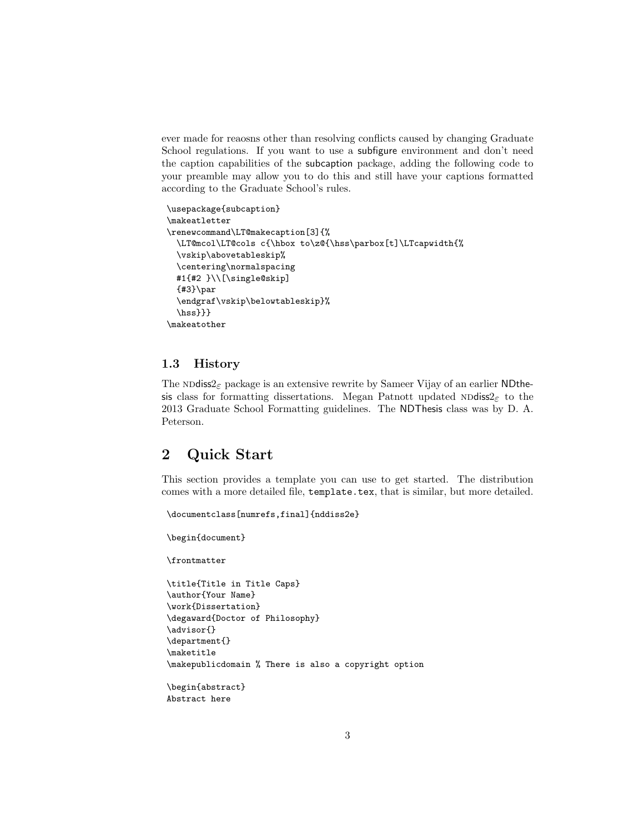ever made for reaosns other than resolving conflicts caused by changing Graduate School regulations. If you want to use a subfigure environment and don't need the caption capabilities of the subcaption package, adding the following code to your preamble may allow you to do this and still have your captions formatted according to the Graduate School's rules.

```
\usepackage{subcaption}
\makeatletter
\renewcommand\LT@makecaption[3]{%
  \LT@mcol\LT@cols c{\hbox to\z@{\hss\parbox[t]\LTcapwidth{%
  \vskip\abovetableskip%
  \centering\normalspacing
  #1{#2 }\\[\single@skip]
  {#3}\par
  \endgraf\vskip\belowtableskip}%
  \hss}}}
\makeatother
```
#### <span id="page-2-0"></span>1.3 History

The NDdiss $2\varepsilon$  package is an extensive rewrite by Sameer Vijay of an earlier NDthesis class for formatting dissertations. Megan Patnott updated NDdiss2<sub>ε</sub> to the 2013 Graduate School Formatting guidelines. The NDThesis class was by D. A. Peterson.

## <span id="page-2-1"></span>2 Quick Start

This section provides a template you can use to get started. The distribution comes with a more detailed file, template.tex, that is similar, but more detailed.

```
\documentclass[numrefs,final]{nddiss2e}
\begin{document}
\frontmatter
\title{Title in Title Caps}
\author{Your Name}
\work{Dissertation}
\degaward{Doctor of Philosophy}
\advisor{}
\department{}
\maketitle
\makepublicdomain % There is also a copyright option
\begin{abstract}
Abstract here
```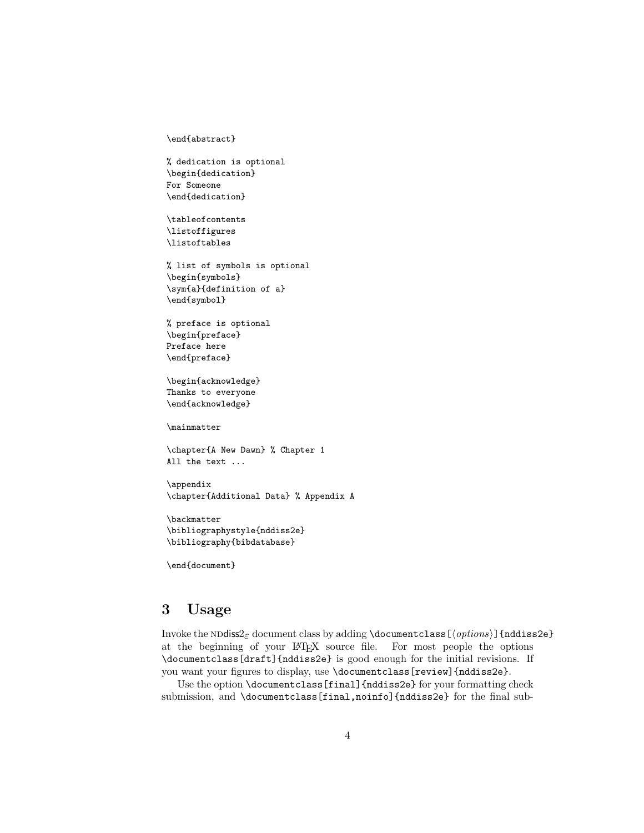\end{abstract}

% dedication is optional \begin{dedication} For Someone \end{dedication}

\tableofcontents \listoffigures \listoftables

% list of symbols is optional \begin{symbols} \sym{a}{definition of a} \end{symbol}

% preface is optional \begin{preface} Preface here \end{preface}

\begin{acknowledge} Thanks to everyone \end{acknowledge}

\mainmatter

\chapter{A New Dawn} % Chapter 1 All the text ...

\appendix \chapter{Additional Data} % Appendix A

\backmatter \bibliographystyle{nddiss2e} \bibliography{bibdatabase}

\end{document}

## <span id="page-3-0"></span>3 Usage

Invoke the NDdiss2 $_{\varepsilon}$  document class by adding \documentclass [ $\{options\}$ ] {nddiss2e} at the beginning of your LATEX source file. For most people the options \documentclass[draft]{nddiss2e} is good enough for the initial revisions. If you want your figures to display, use \documentclass[review]{nddiss2e}.

Use the option \documentclass[final]{nddiss2e} for your formatting check submission, and \documentclass[final,noinfo]{nddiss2e} for the final sub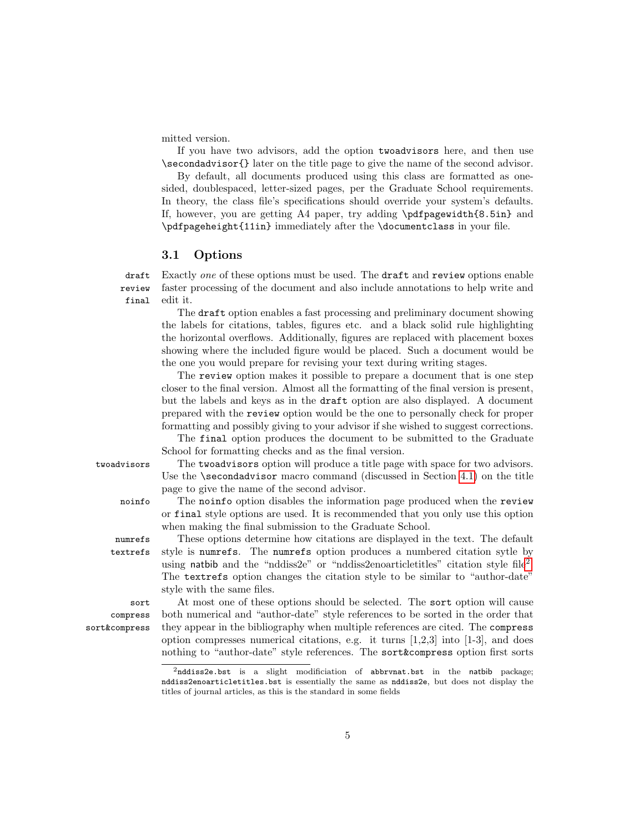mitted version.

If you have two advisors, add the option twoadvisors here, and then use \secondadvisor{} later on the title page to give the name of the second advisor.

By default, all documents produced using this class are formatted as onesided, doublespaced, letter-sized pages, per the Graduate School requirements. In theory, the class file's specifications should override your system's defaults. If, however, you are getting A4 paper, try adding  $\theta$ . but pagewidth {8.5in} and \pdfpageheight{11in} immediately after the \documentclass in your file.

#### <span id="page-4-0"></span>3.1 Options

draft Exactly one of these options must be used. The draft and review options enable review final faster processing of the document and also include annotations to help write and edit it.

The draft option enables a fast processing and preliminary document showing the labels for citations, tables, figures etc. and a black solid rule highlighting the horizontal overflows. Additionally, figures are replaced with placement boxes showing where the included figure would be placed. Such a document would be the one you would prepare for revising your text during writing stages.

The review option makes it possible to prepare a document that is one step closer to the final version. Almost all the formatting of the final version is present, but the labels and keys as in the draft option are also displayed. A document prepared with the review option would be the one to personally check for proper formatting and possibly giving to your advisor if she wished to suggest corrections.

The final option produces the document to be submitted to the Graduate School for formatting checks and as the final version.

twoadvisors The twoadvisors option will produce a title page with space for two advisors. Use the \secondadvisor macro command (discussed in Section [4.1\)](#page-6-0) on the title page to give the name of the second advisor.

noinfo The noinfo option disables the information page produced when the review or final style options are used. It is recommended that you only use this option when making the final submission to the Graduate School.

numrefs These options determine how citations are displayed in the text. The default textrefs style is numrefs. The numrefs option produces a numbered citation sytle by using natbib and the "nddiss[2](#page-4-1)e" or "nddiss2enoarticletitles" citation style file<sup>2</sup>. The textrefs option changes the citation style to be similar to "author-date" style with the same files.

sort At most one of these options should be selected. The sort option will cause both numerical and "author-date" style references to be sorted in the order that they appear in the bibliography when multiple references are cited. The compress option compresses numerical citations, e.g. it turns  $[1,2,3]$  into  $[1-3]$ , and does nothing to "author-date" style references. The sort&compress option first sorts

compress sort&compress

<span id="page-4-1"></span> $2$ nddiss2e.bst is a slight modificiation of abbrvnat.bst in the natbib package; nddiss2enoarticletitles.bst is essentially the same as nddiss2e, but does not display the titles of journal articles, as this is the standard in some fields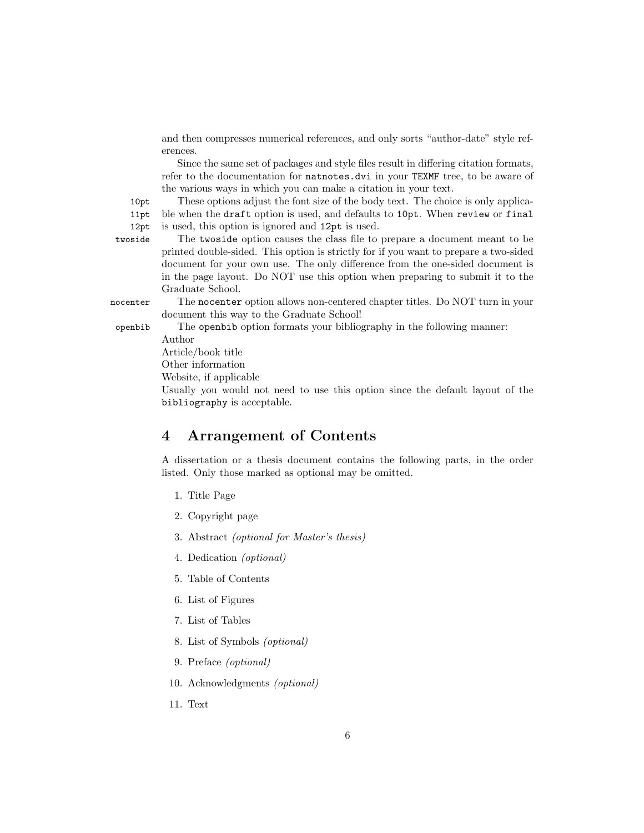and then compresses numerical references, and only sorts "author-date" style references.

Since the same set of packages and style files result in differing citation formats, refer to the documentation for natnotes.dvi in your TEXMF tree, to be aware of the various ways in which you can make a citation in your text.

10pt These options adjust the font size of the body text. The choice is only applicable when the draft option is used, and defaults to 10pt. When review or final

12pt is used, this option is ignored and 12pt is used.

twoside The twoside option causes the class file to prepare a document meant to be printed double-sided. This option is strictly for if you want to prepare a two-sided document for your own use. The only difference from the one-sided document is in the page layout. Do NOT use this option when preparing to submit it to the Graduate School.

11pt

nocenter The nocenter option allows non-centered chapter titles. Do NOT turn in your document this way to the Graduate School!

openbib The openbib option formats your bibliography in the following manner:

Author Article/book title

Other information

Website, if applicable

Usually you would not need to use this option since the default layout of the bibliography is acceptable.

## <span id="page-5-0"></span>4 Arrangement of Contents

A dissertation or a thesis document contains the following parts, in the order listed. Only those marked as optional may be omitted.

- 1. Title Page
- 2. Copyright page
- 3. Abstract (optional for Master's thesis)
- 4. Dedication (optional)
- 5. Table of Contents
- 6. List of Figures
- 7. List of Tables
- 8. List of Symbols (optional)
- 9. Preface (optional)
- 10. Acknowledgments (optional)
- 11. Text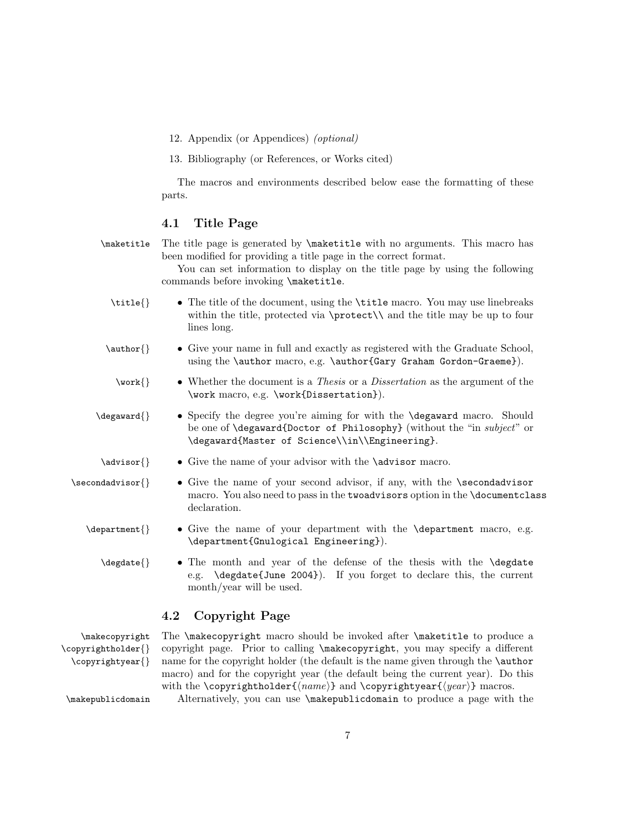12. Appendix (or Appendices) (optional)

13. Bibliography (or References, or Works cited)

The macros and environments described below ease the formatting of these parts.

#### <span id="page-6-0"></span>4.1 Title Page

\maketitle The title page is generated by \maketitle with no arguments. This macro has been modified for providing a title page in the correct format.

> You can set information to display on the title page by using the following commands before invoking **\maketitle**.

- \title{} The title of the document, using the \title macro. You may use linebreaks within the title, protected via  $\propto \$  and the title may be up to four lines long.
- \author{} Give your name in full and exactly as registered with the Graduate School, using the \author macro, e.g. \author{Gary Graham Gordon-Graeme}).
	- $\text{Vark}\$  Whether the document is a *Thesis* or a *Dissertation* as the argument of the \work macro, e.g. \work{Dissertation}).
- \degaward{} Specify the degree you're aiming for with the \degaward macro. Should be one of **\degaward{Doctor of Philosophy}** (without the "in subject" or \degaward{Master of Science\\in\\Engineering}.
- \advisor{} Give the name of your advisor with the \advisor macro.
- $\sec{odadvisor}$  Give the name of your second advisor, if any, with the  $\sec{odadvisor}$ macro. You also need to pass in the twoadvisors option in the \documentclass declaration.
	- \department{} Give the name of your department with the \department macro, e.g. \department{Gnulogical Engineering}).
		- \degdate{} The month and year of the defense of the thesis with the \degdate e.g. \degdate{June 2004}). If you forget to declare this, the current month/year will be used.

#### <span id="page-6-1"></span>4.2 Copyright Page

\copyrightholder{} \copyrightyear{}

\makecopyright The \makecopyright macro should be invoked after \maketitle to produce a copyright page. Prior to calling \makecopyright, you may specify a different name for the copyright holder (the default is the name given through the \author macro) and for the copyright year (the default being the current year). Do this with the \copyrightholder{ $\langle name \rangle$ } and \copyrightyear{ $\langle year \rangle$ } macros.

\makepublicdomain Alternatively, you can use \makepublicdomain to produce a page with the

7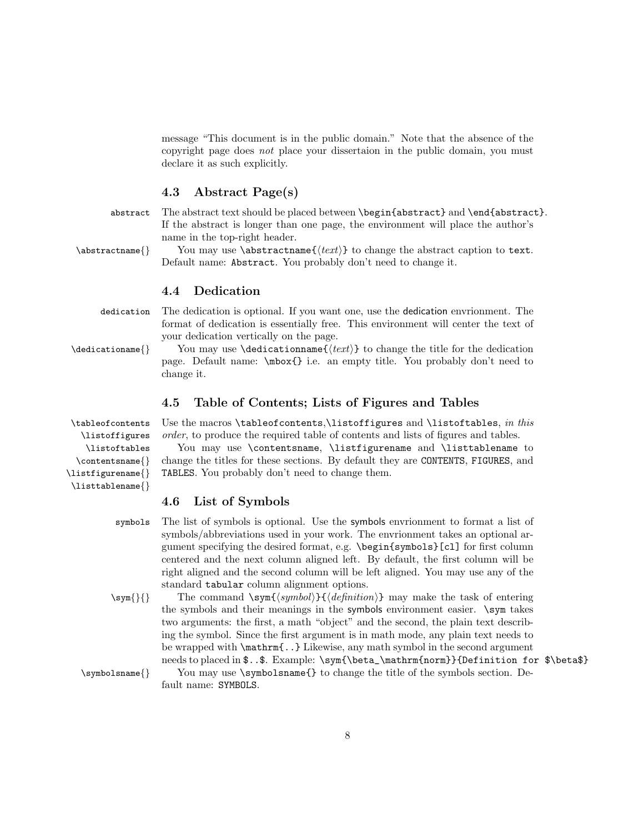message "This document is in the public domain." Note that the absence of the copyright page does not place your dissertaion in the public domain, you must declare it as such explicitly.

#### <span id="page-7-0"></span>4.3 Abstract Page(s)

abstract The abstract text should be placed between \begin{abstract} and \end{abstract}. If the abstract is longer than one page, the environment will place the author's name in the top-right header.

 $\{\delta\}$  You may use  $\{\text{time}\}$  to change the abstract caption to text. Default name: Abstract. You probably don't need to change it.

#### <span id="page-7-1"></span>4.4 Dedication

dedication The dedication is optional. If you want one, use the dedication envrionment. The format of dedication is essentially free. This environment will center the text of your dedication vertically on the page.

\dedicationame{} You may use \dedicationname{htexti} to change the title for the dedication page. Default name: \mbox{} i.e. an empty title. You probably don't need to change it.

#### <span id="page-7-2"></span>4.5 Table of Contents; Lists of Figures and Tables

\tableofcontents Use the macros \tableofcontents,\listoffigures and \listoftables, in this order, to produce the required table of contents and lists of figures and tables.

> You may use \contentsname, \listfigurename and \listtablename to change the titles for these sections. By default they are CONTENTS, FIGURES, and TABLES. You probably don't need to change them.

#### <span id="page-7-3"></span>4.6 List of Symbols

symbols The list of symbols is optional. Use the symbols envrionment to format a list of symbols/abbreviations used in your work. The envrionment takes an optional argument specifying the desired format, e.g. \begin{symbols}[cl] for first column centered and the next column aligned left. By default, the first column will be right aligned and the second column will be left aligned. You may use any of the standard tabular column alignment options.

 $\sum_{i} {\{\gamma\}}$  The command  $\sum_{i}{{\epsilon}}{minin}$  may make the task of entering the symbols and their meanings in the symbols environment easier. \sym takes two arguments: the first, a math "object" and the second, the plain text describing the symbol. Since the first argument is in math mode, any plain text needs to be wrapped with \mathrm{..} Likewise, any math symbol in the second argument needs to placed in  $\dots$ . Example: \sym{\beta\_\mathrm{norm}}{Definition for \$\beta\$}

\symbolsname{} You may use \symbolsname{} to change the title of the symbols section. Default name: SYMBOLS.

\listoffigures \listoftables \contentsname{} \listfigurename{} \listtablename{}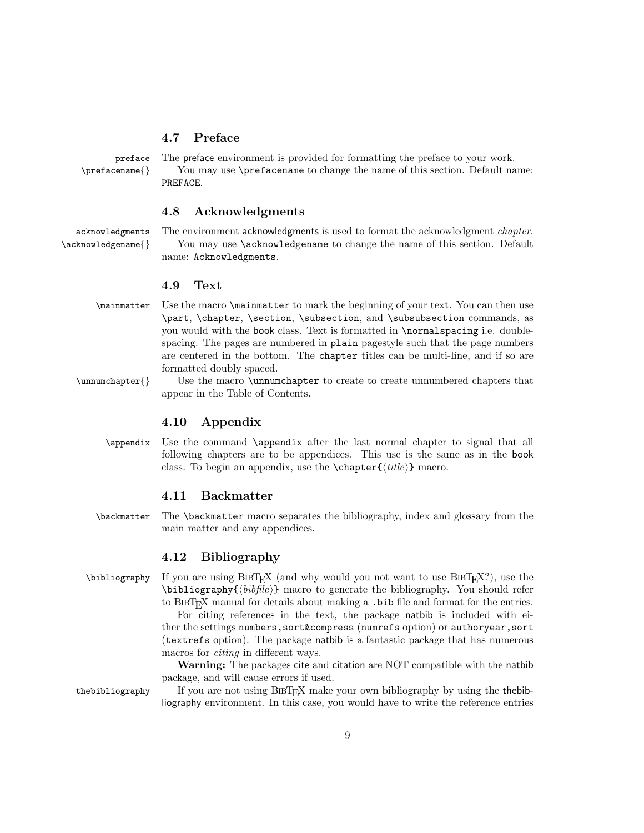#### <span id="page-8-0"></span>4.7 Preface

preface The preface environment is provided for formatting the preface to your work. \prefacename{} You may use \prefacename to change the name of this section. Default name: PREFACE.

#### <span id="page-8-1"></span>4.8 Acknowledgments

acknowledgments The environment acknowledgments is used to format the acknowledgment *chapter*. \acknowledgename{} You may use \acknowledgename to change the name of this section. Default name: Acknowledgments.

#### <span id="page-8-2"></span>4.9 Text

- \mainmatter Use the macro \mainmatter to mark the beginning of your text. You can then use \part, \chapter, \section, \subsection, and \subsubsection commands, as you would with the book class. Text is formatted in \normalspacing i.e. doublespacing. The pages are numbered in plain pagestyle such that the page numbers are centered in the bottom. The chapter titles can be multi-line, and if so are formatted doubly spaced.
- \unnumchapter{} Use the macro \unnumchapter to create to create unnumbered chapters that appear in the Table of Contents.

#### <span id="page-8-3"></span>4.10 Appendix

\appendix Use the command \appendix after the last normal chapter to signal that all following chapters are to be appendices. This use is the same as in the book class. To begin an appendix, use the  $\text{title}$  macro.

#### <span id="page-8-4"></span>4.11 Backmatter

\backmatter The \backmatter macro separates the bibliography, index and glossary from the main matter and any appendices.

#### <span id="page-8-5"></span>4.12 Bibliography

 $\bb{D}$  \bibliography If you are using BIBT<sub>EX</sub> (and why would you not want to use BIBT<sub>EX</sub>?), use the  $\bb{b}$ ibliography $\{\n \{bibfile\} \}$  macro to generate the bibliography. You should refer to BIBT<sub>EX</sub> manual for details about making a .bib file and format for the entries.

> For citing references in the text, the package natbib is included with either the settings numbers,sort&compress (numrefs option) or authoryear,sort (textrefs option). The package natbib is a fantastic package that has numerous macros for *citing* in different ways.

> Warning: The packages cite and citation are NOT compatible with the natbib package, and will cause errors if used.

the bibliography If you are not using  $BIBT<sub>F</sub>X$  make your own bibliography by using the the bibliography environment. In this case, you would have to write the reference entries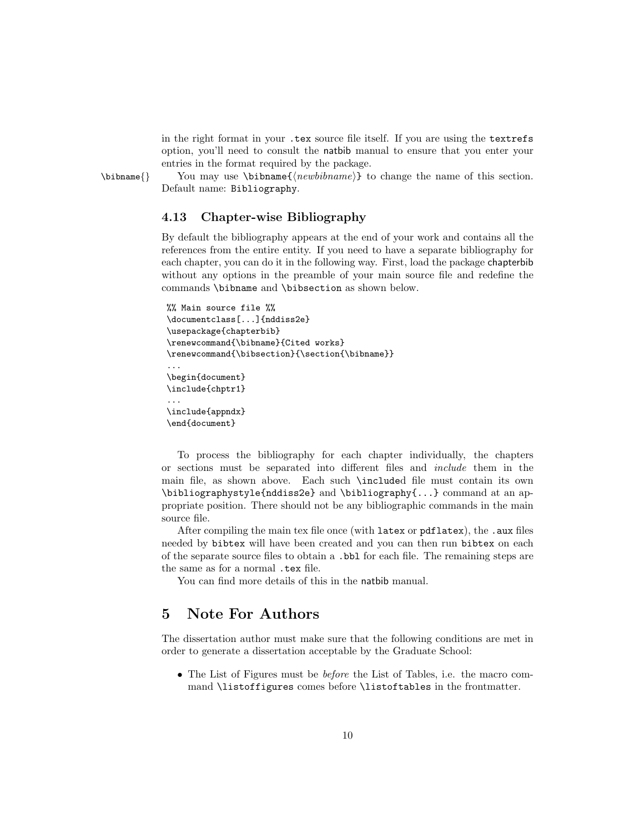in the right format in your .tex source file itself. If you are using the textrefs option, you'll need to consult the natbib manual to ensure that you enter your entries in the format required by the package.

 $\bb{h}$  You may use  $\bb{m}$   $\{newbihname\}$  to change the name of this section. Default name: Bibliography.

#### <span id="page-9-0"></span>4.13 Chapter-wise Bibliography

By default the bibliography appears at the end of your work and contains all the references from the entire entity. If you need to have a separate bibliography for each chapter, you can do it in the following way. First, load the package chapterbib without any options in the preamble of your main source file and redefine the commands \bibname and \bibsection as shown below.

```
%% Main source file %%
\documentclass[...]{nddiss2e}
\usepackage{chapterbib}
\renewcommand{\bibname}{Cited works}
\renewcommand{\bibsection}{\section{\bibname}}
...
\begin{document}
\include{chptr1}
...
\include{appndx}
\end{document}
```
To process the bibliography for each chapter individually, the chapters or sections must be separated into different files and include them in the main file, as shown above. Each such \included file must contain its own \bibliographystyle{nddiss2e} and \bibliography{...} command at an appropriate position. There should not be any bibliographic commands in the main source file.

After compiling the main tex file once (with latex or pdflatex), the .aux files needed by bibtex will have been created and you can then run bibtex on each of the separate source files to obtain a .bbl for each file. The remaining steps are the same as for a normal .tex file.

You can find more details of this in the natbib manual.

## <span id="page-9-1"></span>5 Note For Authors

The dissertation author must make sure that the following conditions are met in order to generate a dissertation acceptable by the Graduate School:

• The List of Figures must be *before* the List of Tables, i.e. the macro command \listoffigures comes before \listoftables in the frontmatter.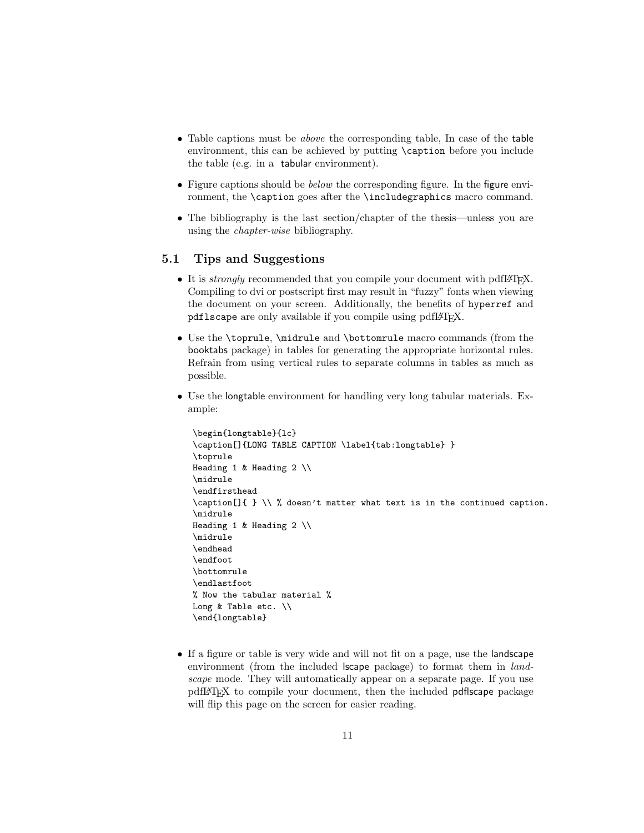- Table captions must be *above* the corresponding table, In case of the table environment, this can be achieved by putting \caption before you include the table (e.g. in a tabular environment).
- Figure captions should be *below* the corresponding figure. In the figure environment, the \caption goes after the \includegraphics macro command.
- The bibliography is the last section/chapter of the thesis—unless you are using the chapter-wise bibliography.

#### <span id="page-10-0"></span>5.1 Tips and Suggestions

- It is *strongly* recommended that you compile your document with pdfI $\text{FEX}$ . Compiling to dvi or postscript first may result in "fuzzy" fonts when viewing the document on your screen. Additionally, the benefits of hyperref and pdflscape are only available if you compile using pdfLATFX.
- Use the \toprule, \midrule and \bottomrule macro commands (from the booktabs package) in tables for generating the appropriate horizontal rules. Refrain from using vertical rules to separate columns in tables as much as possible.
- Use the longtable environment for handling very long tabular materials. Example:

```
\begin{longtable}{lc}
\caption[]{LONG TABLE CAPTION \label{tab:longtable} }
\toprule
Heading 1 & Heading 2 \\
\midrule
\endfirsthead
\caption[]{ } \\ % doesn't matter what text is in the continued caption.
\midrule
Heading 1 & Heading 2 \setminus\midrule
\endhead
\endfoot
\bottomrule
\endlastfoot
% Now the tabular material %
Long & Table etc. \\
\end{longtable}
```
• If a figure or table is very wide and will not fit on a page, use the landscape environment (from the included **scape** package) to format them in *land*scape mode. They will automatically appear on a separate page. If you use pdfLATEX to compile your document, then the included pdflscape package will flip this page on the screen for easier reading.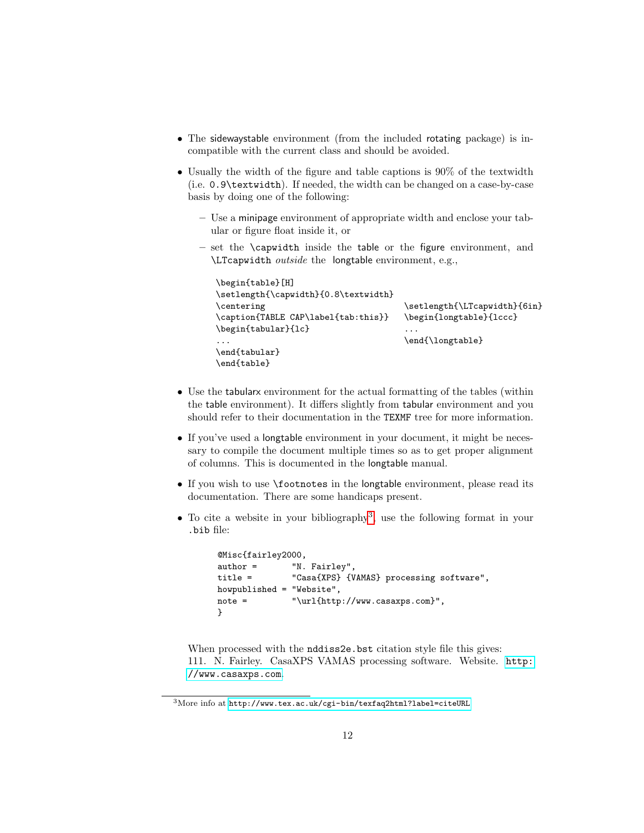- The sidewaystable environment (from the included rotating package) is incompatible with the current class and should be avoided.
- Usually the width of the figure and table captions is 90% of the textwidth (i.e. 0.9\textwidth). If needed, the width can be changed on a case-by-case basis by doing one of the following:
	- Use a minipage environment of appropriate width and enclose your tabular or figure float inside it, or
	- set the \capwidth inside the table or the figure environment, and \LTcapwidth outside the longtable environment, e.g.,

```
\begin{table}[H]
\setlength{\capwidth}{0.8\textwidth}
\centering
\caption{TABLE CAP\label{tab:this}}
\begin{tabular}{lc}
...
\end{tabular}
\end{table}
                                       \setlength{\LTcapwidth}{6in}
                                       \begin{longtable}{lccc}
                                       ...
                                       \end{\longtable}
```
- Use the tabularx environment for the actual formatting of the tables (within the table environment). It differs slightly from tabular environment and you should refer to their documentation in the TEXMF tree for more information.
- If you've used a longtable environment in your document, it might be necessary to compile the document multiple times so as to get proper alignment of columns. This is documented in the longtable manual.
- If you wish to use \footnotes in the longtable environment, please read its documentation. There are some handicaps present.
- $\bullet$  To cite a website in your bibliography<sup>[3](#page-11-0)</sup>, use the following format in your .bib file:

```
@Misc{fairley2000,
author = "N. Fairley",
title = "Casa{XPS} {VAMAS} processing software",
howpublished = "Website",<br>note = "\url{http
                "\url{http://www.casaxps.com}",
}
```
When processed with the nddiss2e.bst citation style file this gives: 111. N. Fairley. CasaXPS VAMAS processing software. Website. [http:](http://www.casaxps.com) [//www.casaxps.com](http://www.casaxps.com).

<span id="page-11-0"></span><sup>3</sup>More info at <http://www.tex.ac.uk/cgi-bin/texfaq2html?label=citeURL>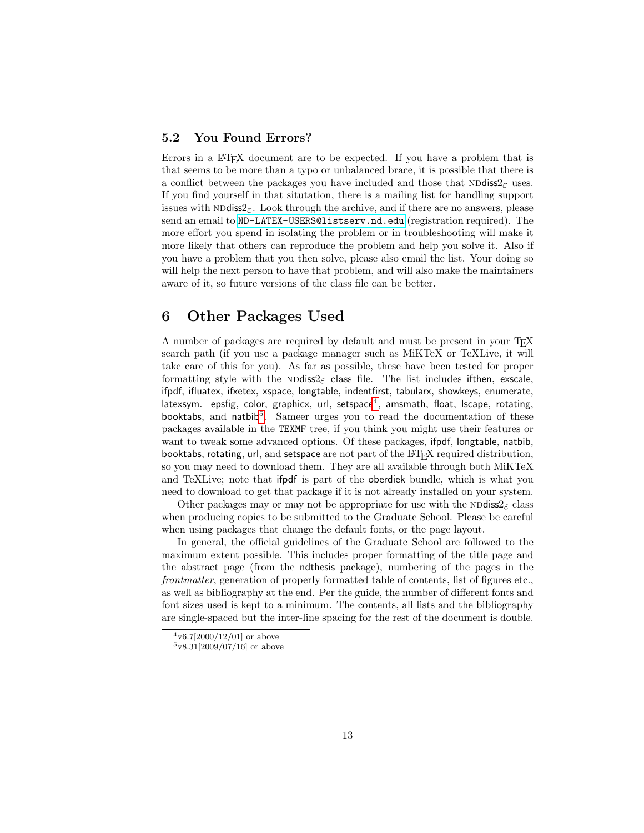#### <span id="page-12-0"></span>5.2 You Found Errors?

Errors in a LAT<sub>EX</sub> document are to be expected. If you have a problem that is that seems to be more than a typo or unbalanced brace, it is possible that there is a conflict between the packages you have included and those that  $N\text{Ddiss2}_{\epsilon}$  uses. If you find yourself in that situtation, there is a mailing list for handling support issues with ND diss $2\epsilon$ . Look through the archive, and if there are no answers, please send an email to <ND-LATEX-USERS@listserv.nd.edu> (registration required). The more effort you spend in isolating the problem or in troubleshooting will make it more likely that others can reproduce the problem and help you solve it. Also if you have a problem that you then solve, please also email the list. Your doing so will help the next person to have that problem, and will also make the maintainers aware of it, so future versions of the class file can be better.

## <span id="page-12-1"></span>6 Other Packages Used

A number of packages are required by default and must be present in your TEX search path (if you use a package manager such as MiKTeX or TeXLive, it will take care of this for you). As far as possible, these have been tested for proper formatting style with the NDdiss2<sub>ε</sub> class file. The list includes if then, exscale, ifpdf, ifluatex, ifxetex, xspace, longtable, indentfirst, tabularx, showkeys, enumerate, latexsym. epsfig, color, graphicx, url, setspace $^4$  $^4$ , amsmath, float, lscape, rotating, booktabs, and natbib<sup>[5](#page-12-3)</sup>. Sameer urges you to read the documentation of these packages available in the TEXMF tree, if you think you might use their features or want to tweak some advanced options. Of these packages, ifpdf, longtable, natbib, booktabs, rotating, url, and setspace are not part of the LATEX required distribution, so you may need to download them. They are all available through both MiKTeX and TeXLive; note that ifpdf is part of the oberdiek bundle, which is what you need to download to get that package if it is not already installed on your system.

Other packages may or may not be appropriate for use with the ND diss $2\epsilon$  class when producing copies to be submitted to the Graduate School. Please be careful when using packages that change the default fonts, or the page layout.

In general, the official guidelines of the Graduate School are followed to the maximum extent possible. This includes proper formatting of the title page and the abstract page (from the ndthesis package), numbering of the pages in the frontmatter, generation of properly formatted table of contents, list of figures etc., as well as bibliography at the end. Per the guide, the number of different fonts and font sizes used is kept to a minimum. The contents, all lists and the bibliography are single-spaced but the inter-line spacing for the rest of the document is double.

<span id="page-12-2"></span> $4v6.7[2000/12/01]$  or above

<span id="page-12-3"></span> $5v8.31[2009/07/16]$  or above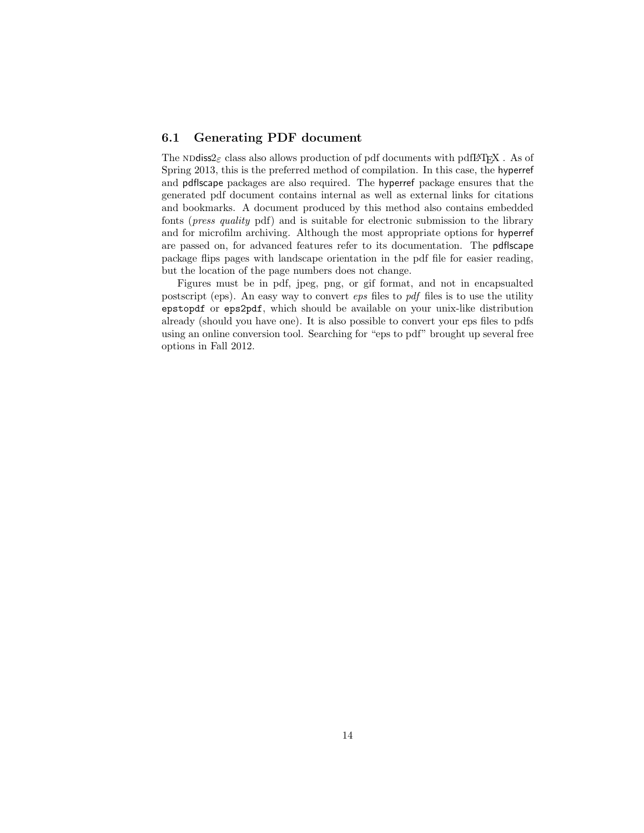#### <span id="page-13-0"></span>6.1 Generating PDF document

The NDdiss $2\varepsilon$  class also allows production of pdf documents with pdfLAT<sub>EX</sub>. As of Spring 2013, this is the preferred method of compilation. In this case, the hyperref and pdflscape packages are also required. The hyperref package ensures that the generated pdf document contains internal as well as external links for citations and bookmarks. A document produced by this method also contains embedded fonts (press quality pdf) and is suitable for electronic submission to the library and for microfilm archiving. Although the most appropriate options for hyperref are passed on, for advanced features refer to its documentation. The pdflscape package flips pages with landscape orientation in the pdf file for easier reading, but the location of the page numbers does not change.

Figures must be in pdf, jpeg, png, or gif format, and not in encapsualted postscript (eps). An easy way to convert eps files to pdf files is to use the utility epstopdf or eps2pdf, which should be available on your unix-like distribution already (should you have one). It is also possible to convert your eps files to pdfs using an online conversion tool. Searching for "eps to pdf" brought up several free options in Fall 2012.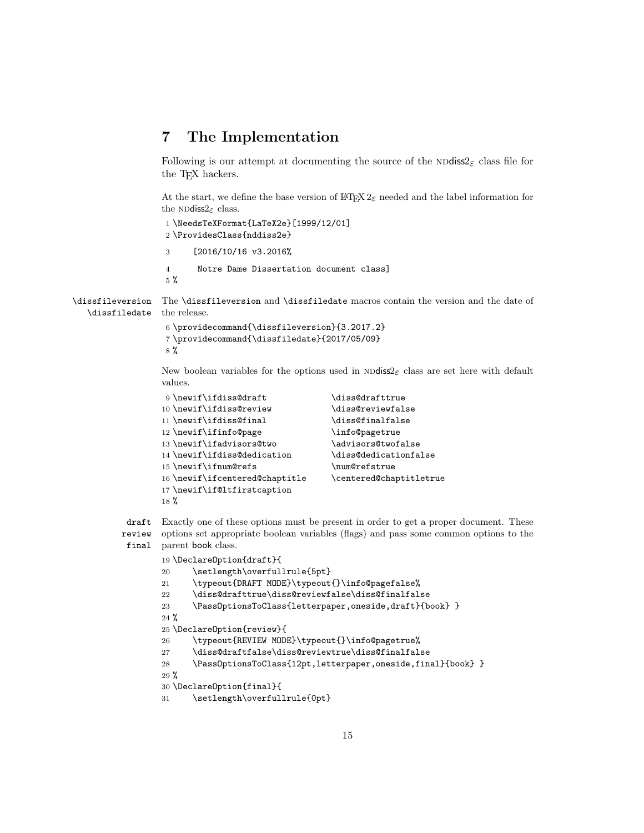### <span id="page-14-0"></span>7 The Implementation

Following is our attempt at documenting the source of the  $N\text{Ddiss2}_{\varepsilon}$  class file for the T<sub>EX</sub> hackers.

At the start, we define the base version of  $\mathbb{F}T_F X 2_\varepsilon$  needed and the label information for the NDdiss $2_{\varepsilon}$  class.

```
1 \NeedsTeXFormat{LaTeX2e}[1999/12/01]
2 \ProvidesClass{nddiss2e}
```
- 3 [2016/10/16 v3.2016%
- 4 Notre Dame Dissertation document class]

```
5 %
```
\dissfileversion \dissfiledate The \dissfileversion and \dissfiledate macros contain the version and the date of the release.

```
6 \providecommand{\dissfileversion}{3.2017.2}
7 \providecommand{\dissfiledate}{2017/05/09}
8 %
```
New boolean variables for the options used in  $N$ odiss2<sub> $\varepsilon$ </sub> class are set here with default values.

```
9\newif\ifdiss@draft \diss@drafttrue
10 \newif\ifdiss@review \diss@reviewfalse
11 \newif\ifdiss@final \diss@finalfalse
12 \newif\ifinfo@page \info@pagetrue
13 \newif\ifadvisors@two \advisors@twofalse
14 \newif\ifdiss@dedication \diss@dedicationfalse
15 \newif\ifnum@refs \num@refstrue
16 \newif\ifcentered@chaptitle \centered@chaptitletrue
17 \newif\if@ltfirstcaption
18 %
```
draft review final Exactly one of these options must be present in order to get a proper document. These options set appropriate boolean variables (flags) and pass some common options to the parent book class.

```
19 \DeclareOption{draft}{
20 \setlength\overfullrule{5pt}
21 \typeout{DRAFT MODE}\typeout{}\info@pagefalse%
22 \diss@drafttrue\diss@reviewfalse\diss@finalfalse
23 \PassOptionsToClass{letterpaper,oneside,draft}{book} }
24 \%25 \DeclareOption{review}{
26 \typeout{REVIEW MODE}\typeout{}\info@pagetrue%
27 \diss@draftfalse\diss@reviewtrue\diss@finalfalse
28 \PassOptionsToClass{12pt,letterpaper,oneside,final}{book} }
29 %
30 \DeclareOption{final}{
31 \setlength\overfullrule{0pt}
```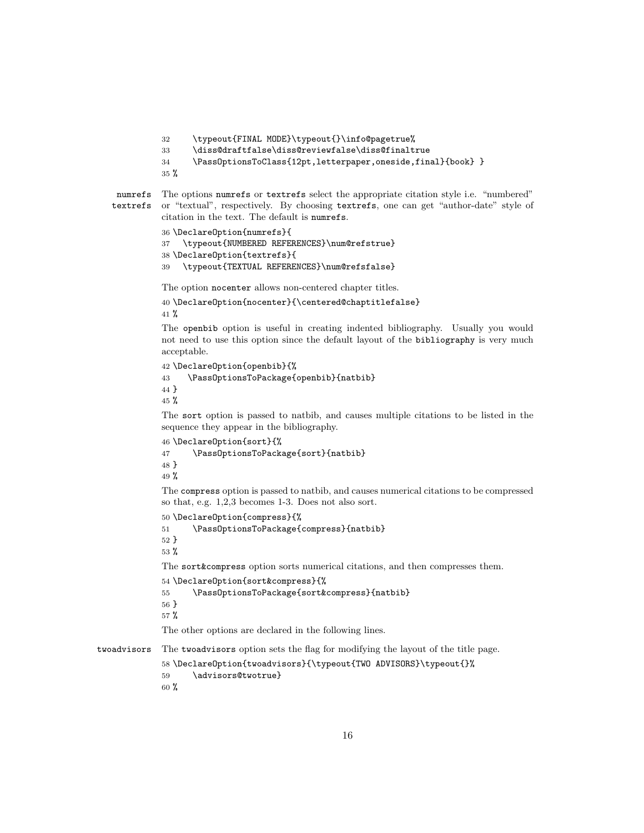```
32 \typeout{FINAL MODE}\typeout{}\info@pagetrue%
```

```
33 \diss@draftfalse\diss@reviewfalse\diss@finaltrue
```

```
34 \PassOptionsToClass{12pt,letterpaper,oneside,final}{book} }
```
%

```
numrefs
textrefs
           The options numrefs or textrefs select the appropriate citation style i.e. "numbered"
           or "textual", respectively. By choosing textrefs, one can get "author-date" style of
           citation in the text. The default is numrefs.
```

```
36 \DeclareOption{numrefs}{
37 \typeout{NUMBERED REFERENCES}\num@refstrue}
38 \DeclareOption{textrefs}{
39 \typeout{TEXTUAL REFERENCES}\num@refsfalse}
```
The option nocenter allows non-centered chapter titles.

```
40 \DeclareOption{nocenter}{\centered@chaptitlefalse}
41 %
```
The openbib option is useful in creating indented bibliography. Usually you would not need to use this option since the default layout of the bibliography is very much acceptable.

```
42 \DeclareOption{openbib}{%
43 \PassOptionsToPackage{openbib}{natbib}
44 }
```
%

The sort option is passed to natbib, and causes multiple citations to be listed in the sequence they appear in the bibliography.

```
46 \DeclareOption{sort}{%
```

```
47 \PassOptionsToPackage{sort}{natbib}
48 }
49 %
```
The compress option is passed to natbib, and causes numerical citations to be compressed so that, e.g. 1,2,3 becomes 1-3. Does not also sort.

```
50 \DeclareOption{compress}{%
```

```
51 \PassOptionsToPackage{compress}{natbib}
52 }
```
%

The sort&compress option sorts numerical citations, and then compresses them.

```
54 \DeclareOption{sort&compress}{%
```

```
55 \PassOptionsToPackage{sort&compress}{natbib}
56 }
57 %
```
The other options are declared in the following lines.

twoadvisors The twoadvisors option sets the flag for modifying the layout of the title page.

```
58 \DeclareOption{twoadvisors}{\typeout{TWO ADVISORS}\typeout{}%
59 \advisors@twotrue}
60 %
```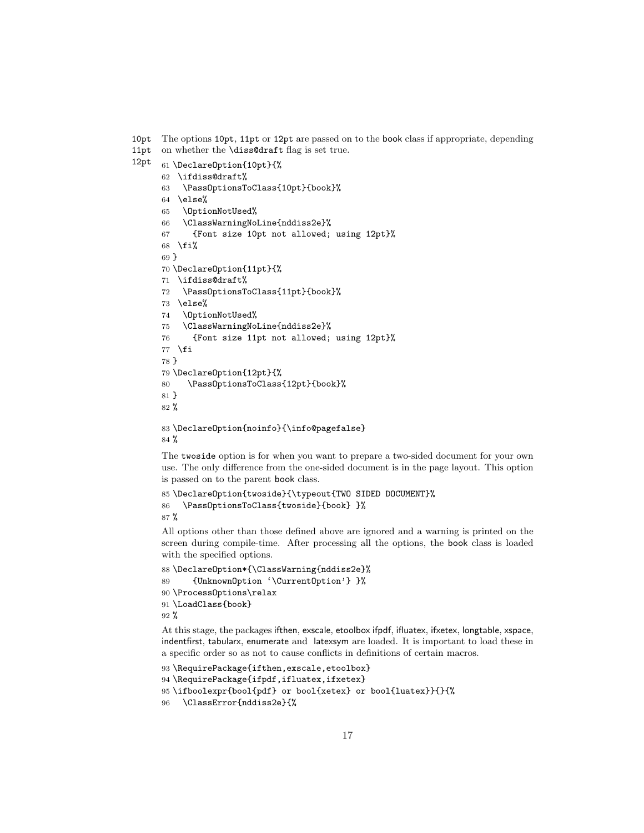10pt The options 10pt, 11pt or 12pt are passed on to the book class if appropriate, depending

- 11pt on whether the \diss@draft flag is set true.
- 12pt

```
61 \DeclareOption{10pt}{%
```
- \ifdiss@draft%
- \PassOptionsToClass{10pt}{book}%
- \else%
- \OptionNotUsed%
- \ClassWarningNoLine{nddiss2e}%
- {Font size 10pt not allowed; using 12pt}%
- \fi%
- }

```
70 \DeclareOption{11pt}{%
```
- \ifdiss@draft%
- \PassOptionsToClass{11pt}{book}%
- \else%
- \OptionNotUsed%
- \ClassWarningNoLine{nddiss2e}%
- {Font size 11pt not allowed; using 12pt}%
- \fi } \DeclareOption{12pt}{%
- \PassOptionsToClass{12pt}{book}%
- }
- %
- \DeclareOption{noinfo}{\info@pagefalse} %

The twoside option is for when you want to prepare a two-sided document for your own use. The only difference from the one-sided document is in the page layout. This option is passed on to the parent book class.

```
85 \DeclareOption{twoside}{\typeout{TWO SIDED DOCUMENT}%
86 \PassOptionsToClass{twoside}{book} }%
87 %
```
All options other than those defined above are ignored and a warning is printed on the screen during compile-time. After processing all the options, the book class is loaded with the specified options.

```
88 \DeclareOption*{\ClassWarning{nddiss2e}%
89 {UnknownOption '\CurrentOption'} }%
90 \ProcessOptions\relax
91 \LoadClass{book}
92 %
```
At this stage, the packages ifthen, exscale, etoolbox ifpdf, ifluatex, ifxetex, longtable, xspace, indentfirst, tabularx, enumerate and latexsym are loaded. It is important to load these in a specific order so as not to cause conflicts in definitions of certain macros.

```
93 \RequirePackage{ifthen,exscale,etoolbox}
94 \RequirePackage{ifpdf,ifluatex,ifxetex}
95 \ifboolexpr{bool{pdf} or bool{xetex} or bool{luatex}}{}{%
96 \ClassError{nddiss2e}{%
```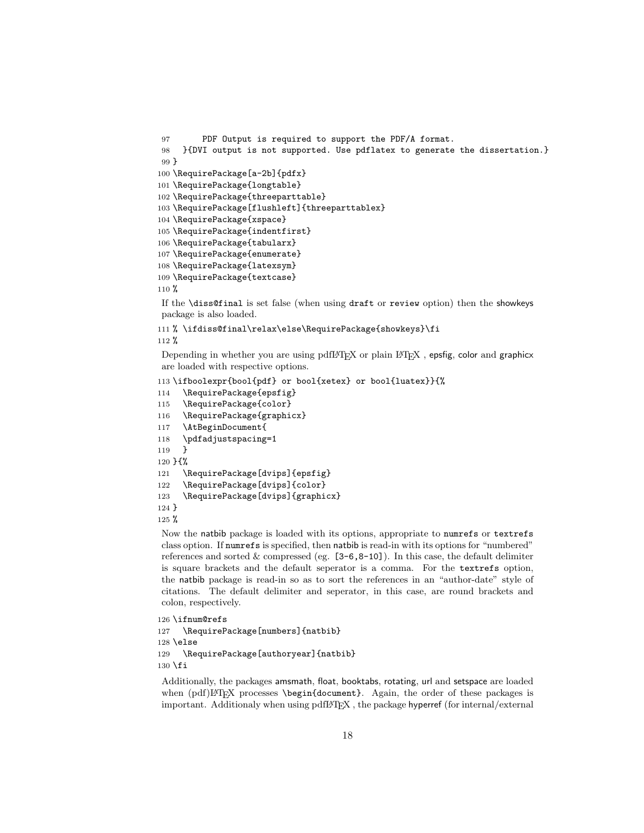```
97 PDF Output is required to support the PDF/A format.
98 }{DVI output is not supported. Use pdflatex to generate the dissertation.}
99 }
100 \RequirePackage[a-2b]{pdfx}
101 \RequirePackage{longtable}
102 \RequirePackage{threeparttable}
103 \RequirePackage[flushleft]{threeparttablex}
104 \RequirePackage{xspace}
105 \RequirePackage{indentfirst}
106 \RequirePackage{tabularx}
107 \RequirePackage{enumerate}
108 \RequirePackage{latexsym}
109 \RequirePackage{textcase}
110 %
If the \diss@final is set false (when using draft or review option) then the showkeys
```
package is also loaded.

% \ifdiss@final\relax\else\RequirePackage{showkeys}\fi

%

Depending in whether you are using pdfL $\text{F}$ T<sub>E</sub>X or plain LAT<sub>E</sub>X, epsfig, color and graphicx are loaded with respective options.

```
113 \ifboolexpr{bool{pdf} or bool{xetex} or bool{luatex}}{%
```

```
114 \RequirePackage{epsfig}
```
- \RequirePackage{color}
- \RequirePackage{graphicx}
- \AtBeginDocument{
- \pdfadjustspacing=1

```
119 }
```
}{%

```
121 \RequirePackage[dvips]{epsfig}
```
\RequirePackage[dvips]{color}

```
123 \RequirePackage[dvips]{graphicx}
```

```
124 }
```

```
125 %
```
Now the natbib package is loaded with its options, appropriate to numrefs or textrefs class option. If numrefs is specified, then natbib is read-in with its options for "numbered" references and sorted  $\&$  compressed (eg.  $[3-6,8-10]$ ). In this case, the default delimiter is square brackets and the default seperator is a comma. For the textrefs option, the natbib package is read-in so as to sort the references in an "author-date" style of citations. The default delimiter and seperator, in this case, are round brackets and colon, respectively.

```
126 \ifnum@refs
```

```
127 \RequirePackage[numbers]{natbib}
128 \else
129 \RequirePackage[authoryear]{natbib}
130 \fi
```
Additionally, the packages amsmath, float, booktabs, rotating, url and setspace are loaded when  $\text{pdf}$ ET<sub>E</sub>X processes \begin{document}. Again, the order of these packages is important. Additionaly when using pdfLATEX , the package hyperref (for internal/external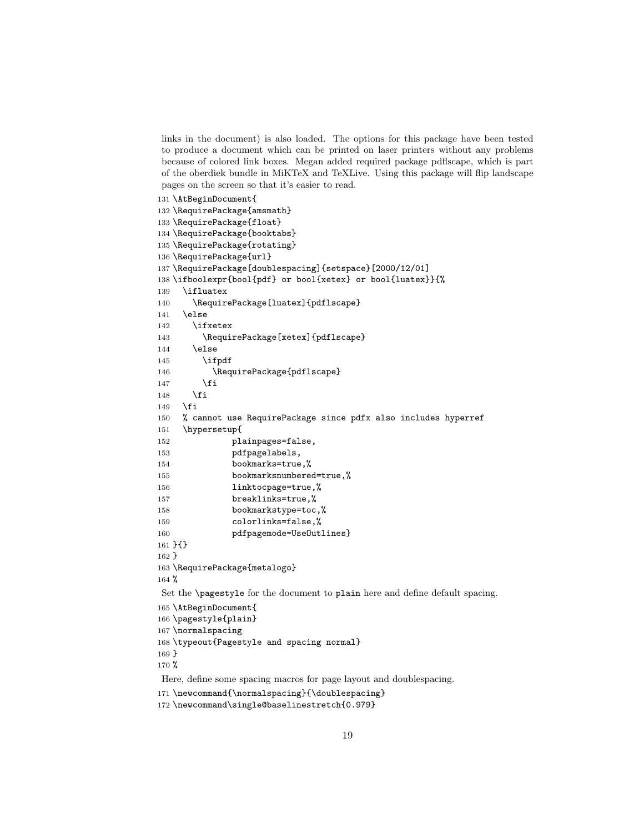links in the document) is also loaded. The options for this package have been tested to produce a document which can be printed on laser printers without any problems because of colored link boxes. Megan added required package pdflscape, which is part of the oberdiek bundle in MiKTeX and TeXLive. Using this package will flip landscape pages on the screen so that it's easier to read.

131 \AtBeginDocument{

```
132 \RequirePackage{amsmath}
133 \RequirePackage{float}
134 \RequirePackage{booktabs}
135 \RequirePackage{rotating}
136 \RequirePackage{url}
137 \RequirePackage[doublespacing]{setspace}[2000/12/01]
138 \ifboolexpr{bool{pdf} or bool{xetex} or bool{luatex}}{%
139 \ifluatex
140 \RequirePackage[luatex]{pdflscape}
141 \else
142 \ifxetex
143 \RequirePackage[xetex]{pdflscape}
144 \else
145 \ifpdf
146 \RequirePackage{pdflscape}
147 \fi
148 \fi
149 \overrightarrow{fi}150 % cannot use RequirePackage since pdfx also includes hyperref
151 \hypersetup{
152 plainpages=false,
153 pdfpagelabels,
154 bookmarks=true,%
155 bookmarksnumbered=true,%
156 linktocpage=true,%
157 breaklinks=true,%
158 bookmarkstype=toc,%
159 colorlinks=false,%
160 pdfpagemode=UseOutlines}
161 }{}
162 }
163 \RequirePackage{metalogo}
164 %
Set the \pagestyle for the document to plain here and define default spacing.
165 \AtBeginDocument{
166 \pagestyle{plain}
167 \normalspacing
168 \typeout{Pagestyle and spacing normal}
169 }
170 %
Here, define some spacing macros for page layout and doublespacing.
171 \newcommand{\normalspacing}{\doublespacing}
```
<sup>172</sup> \newcommand\single@baselinestretch{0.979}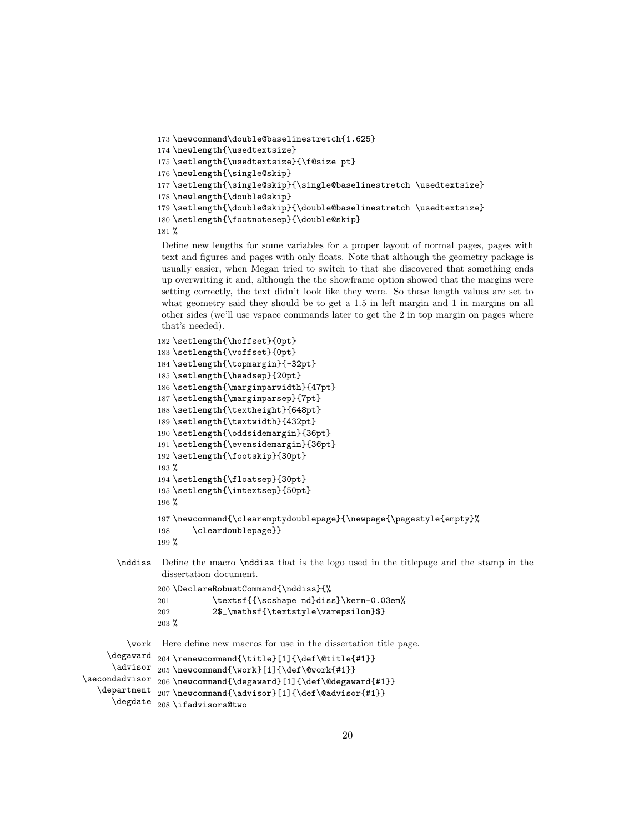```
173 \newcommand\double@baselinestretch{1.625}
174 \newlength{\usedtextsize}
175 \setlength{\usedtextsize}{\f@size pt}
176 \newlength{\single@skip}
177 \setlength{\single@skip}{\single@baselinestretch \usedtextsize}
178 \newlength{\double@skip}
179 \setlength{\double@skip}{\double@baselinestretch \usedtextsize}
180 \setlength{\footnotesep}{\double@skip}
181 %
```
Define new lengths for some variables for a proper layout of normal pages, pages with text and figures and pages with only floats. Note that although the geometry package is usually easier, when Megan tried to switch to that she discovered that something ends up overwriting it and, although the the showframe option showed that the margins were setting correctly, the text didn't look like they were. So these length values are set to what geometry said they should be to get a 1.5 in left margin and 1 in margins on all other sides (we'll use vspace commands later to get the 2 in top margin on pages where that's needed).

```
182 \setlength{\hoffset}{0pt}
183 \setlength{\voffset}{0pt}
184 \setlength{\topmargin}{-32pt}
185 \setlength{\headsep}{20pt}
186 \setlength{\marginparwidth}{47pt}
187 \setlength{\marginparsep}{7pt}
188 \setlength{\textheight}{648pt}
189 \setlength{\textwidth}{432pt}
190 \setlength{\oddsidemargin}{36pt}
191 \setlength{\evensidemargin}{36pt}
192 \setlength{\footskip}{30pt}
193 %
194 \setlength{\floatsep}{30pt}
195 \setlength{\intextsep}{50pt}
196 %
197 \newcommand{\clearemptydoublepage}{\newpage{\pagestyle{empty}%
198 \cleardoublepage}}
199 %
```

```
\nddiss Define the macro \nddiss that is the logo used in the titlepage and the stamp in the
          dissertation document.
```

```
200 \DeclareRobustCommand{\nddiss}{%
201 \textsf{{\scshape nd}diss}\kern-0.03em%
202 2$_\mathsf{\textstyle\varepsilon}$}
203 %
```
\work Here define new macros for use in the dissertation title page.

```
\degaward 204\renewcommand{\title}[1]{\def\@title{#1}}
      \advisor 205 \newcommand{\work}[1]{\def\@work{#1}}
\secondadvisor _{206} \newcommand{\degaward}[1]{\def\@degaward{#1}}
   \department 207\newcommand{\advisor}[1]{\def\@advisor{#1}}
      \degdate
208 \ifadvisors@two
```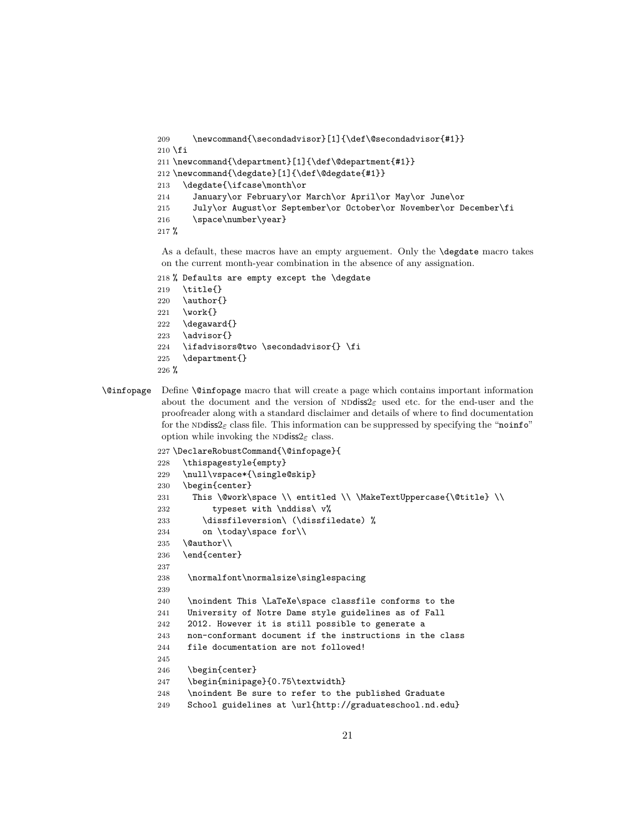```
209 \newcommand{\secondadvisor}[1]{\def\@secondadvisor{#1}}
210 \overline{\text{f}}i
211 \newcommand{\department}[1]{\def\@department{#1}}
212 \newcommand{\degdate}[1]{\def\@degdate{#1}}
213 \degdate{\ifcase\month\or
214 January\or February\or March\or April\or May\or June\or
215 July\or August\or September\or October\or November\or December\fi
216 \space\number\year}
217 %
```
As a default, these macros have an empty arguement. Only the \degdate macro takes on the current month-year combination in the absence of any assignation.

```
218 % Defaults are empty except the \degdate
```
- \title{}
- 220 \author{}
- \work{}
- \degaward{}
- 223 \advisor{}
- \ifadvisors@two \secondadvisor{} \fi
- \department{}
- $226 \%$
- \@infopage Define \@infopage macro that will create a page which contains important information about the document and the version of  $N$ Ddiss $2\varepsilon$  used etc. for the end-user and the proofreader along with a standard disclaimer and details of where to find documentation for the ND diss $2 \epsilon$  class file. This information can be suppressed by specifying the "noinfo" option while invoking the NDdiss $2\varepsilon$  class.

```
227 \DeclareRobustCommand{\@infopage}{
228 \thispagestyle{empty}
229 \null\vspace*{\single@skip}
230 \begin{center}
231 This \@work\space \\ entitled \\ \MakeTextUppercase{\@title} \\
232 typeset with \nddiss\ v%
233 \dissfileversion\ (\dissfiledate) \%234 on \today\space for\\
235 \@author\\
236 \end{center}
237
238 \normalfont\normalsize\singlespacing
239
240 \noindent This \LaTeXe\space classfile conforms to the
241 University of Notre Dame style guidelines as of Fall
242 2012. However it is still possible to generate a
243 non-conformant document if the instructions in the class
244 file documentation are not followed!
245
246 \begin{center}
247 \begin{minipage}{0.75\textwidth}
248 \noindent Be sure to refer to the published Graduate
249 School guidelines at \url{http://graduateschool.nd.edu}
```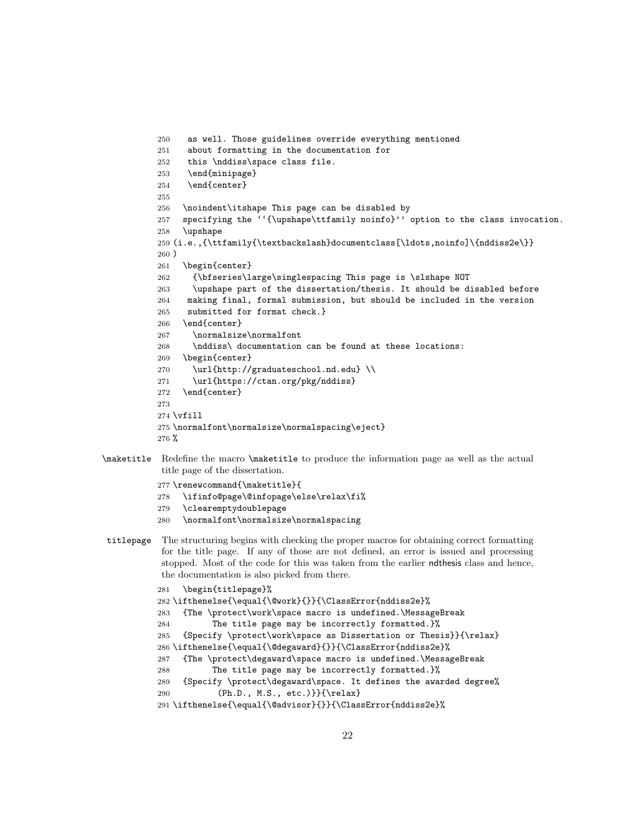```
250 as well. Those guidelines override everything mentioned
251 about formatting in the documentation for
252 this \nddiss\space class file.
253 \end{minipage}
254 \end{center}
255
256 \noindent\itshape This page can be disabled by
257 specifying the ''{\upshape\ttfamily noinfo}'' option to the class invocation.
258 \upshape
259 (i.e.,{\ttfamily{\textbackslash}documentclass[\ldots,noinfo]\{nddiss2e\}}
260 )
261 \begin{center}
262 {\bfseries\large\singlespacing This page is \slshape NOT
263 \upshape part of the dissertation/thesis. It should be disabled before
264 making final, formal submission, but should be included in the version
265 submitted for format check.}
266 \end{center}
267 \normalsize\normalfont
268 \nddiss\ documentation can be found at these locations:
269 \begin{center}
270 \url{http://graduateschool.nd.edu} \\
271 \url{https://ctan.org/pkg/nddiss}
272 \end{center}
273
274 \vfill
275 \normalfont\normalsize\normalspacing\eject}
276 %
```
\maketitle Redefine the macro \maketitle to produce the information page as well as the actual title page of the dissertation.

\renewcommand{\maketitle}{

\ifinfo@page\@infopage\else\relax\fi%

```
279 \clearemptydoublepage
          280 \normalfont\normalsize\normalspacing
titlepage The structuring begins with checking the proper macros for obtaining correct formatting
           for the title page. If any of those are not defined, an error is issued and processing
           stopped. Most of the code for this was taken from the earlier ndthesis class and hence,
           the documentation is also picked from there.
          281 \begin{titlepage}%
          282 \ifthenelse{\equal{\@work}{}}{\ClassError{nddiss2e}%
          283 {The \protect\work\space macro is undefined.\MessageBreak
          284 The title page may be incorrectly formatted.}%
          285 {Specify \protect\work\space as Dissertation or Thesis}}{\relax}
          286 \ifthenelse{\equal{\@degaward}{}}{\ClassError{nddiss2e}%
          287 {The \protect\degaward\space macro is undefined.\MessageBreak
          288 The title page may be incorrectly formatted.}%
          289 {Specify \protect\degaward\space. It defines the awarded degree%
          290 (Ph.D., M.S., etc.)}}{\relax}
          291 \ifthenelse{\equal{\@advisor}{}}{\ClassError{nddiss2e}%
```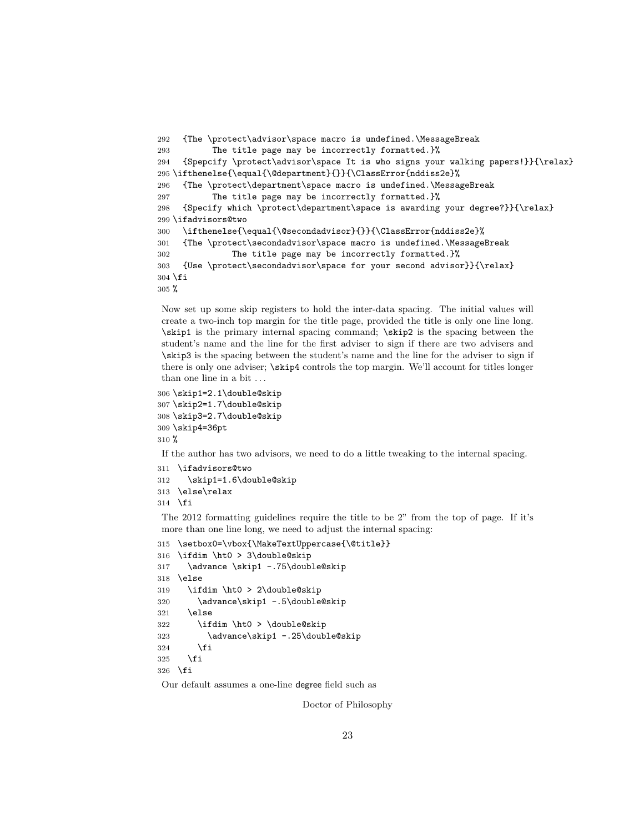```
292 {The \protect\advisor\space macro is undefined.\MessageBreak
293 The title page may be incorrectly formatted.}%
294 {Spepcify \protect\advisor\space It is who signs your walking papers!}}{\relax}
295 \ifthenelse{\equal{\@department}{}}{\ClassError{nddiss2e}%
296 {The \protect\department\space macro is undefined.\MessageBreak
297 The title page may be incorrectly formatted.}%
298 {Specify which \protect\department\space is awarding your degree?}}{\relax}
299 \ifadvisors@two
300 \ifthenelse{\equal{\@secondadvisor}{}}{\ClassError{nddiss2e}%
301 {The \protect\secondadvisor\space macro is undefined.\MessageBreak
302 The title page may be incorrectly formatted.}%
303 {Use \protect\secondadvisor\space for your second advisor}}{\relax}
304 \fi
305 %
```
Now set up some skip registers to hold the inter-data spacing. The initial values will create a two-inch top margin for the title page, provided the title is only one line long. \skip1 is the primary internal spacing command; \skip2 is the spacing between the student's name and the line for the first adviser to sign if there are two advisers and \skip3 is the spacing between the student's name and the line for the adviser to sign if there is only one adviser; \skip4 controls the top margin. We'll account for titles longer than one line in a bit . . .

```
306 \skip1=2.1\double@skip
307 \skip2=1.7\double@skip
308 \skip3=2.7\double@skip
309 \skip4=36pt
310 %
```
If the author has two advisors, we need to do a little tweaking to the internal spacing.

```
311 \ifadvisors@two
312 \skip1=1.6\double@skip
```
\else\relax

\fi

The 2012 formatting guidelines require the title to be 2" from the top of page. If it's more than one line long, we need to adjust the internal spacing:

```
315 \setbox0=\vbox{\MakeTextUppercase{\@title}}
316 \ifdim \ht0 > 3\double@skip
317 \advance \skip1 -.75\double@skip
318 \else
319 \ifdim \ht0 > 2\double@skip
320 \advance\skip1 -.5\double@skip
321 \else
322 \ifdim \ht0 > \double@skip
323 \advance\skip1 -.25\double@skip
324 \fi
325 \fi
326 \fi
```
Our default assumes a one-line degree field such as

Doctor of Philosophy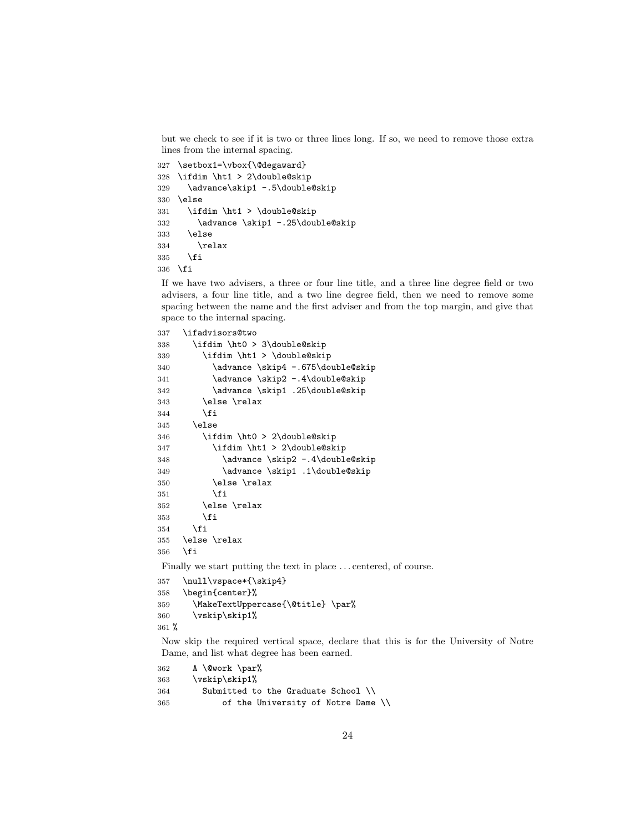but we check to see if it is two or three lines long. If so, we need to remove those extra lines from the internal spacing.

```
327 \setbox1=\vbox{\@degaward}
328 \ifdim \ht1 > 2\double@skip
329 \advance\skip1 -.5\double@skip
330 \else
331 \ifdim \ht1 > \double@skip
332 \advance \skip1 -.25\double@skip
333 \else
334 \relax
335 \fi
336 \fi
```
If we have two advisers, a three or four line title, and a three line degree field or two advisers, a four line title, and a two line degree field, then we need to remove some spacing between the name and the first adviser and from the top margin, and give that space to the internal spacing.

```
337 \ifadvisors@two
338 \ifdim \ht0 > 3\double@skip
339 \ifdim \ht1 > \double@skip
340 \advance \skip4 -.675\double@skip
341 \advance \skip2 -.4\double@skip
342 \advance \skip1 .25\double@skip
343 \else \relax
344 \fi
345 \else
346 \ifdim \ht0 > 2\double@skip
347 \ifdim \ht1 > 2\double@skip
348 \advance \skip2 -.4\double@skip
349 \advance \skip1 .1\double@skip
350 \else \relax
351 \fi
352 \else \relax
353 \fi
354 \fi
355 \else \relax
356 \fi
```
Finally we start putting the text in place . . . centered, of course.

```
357 \null\vspace*{\skip4}
358 \begin{center}%
359 \MakeTextUppercase{\@title} \par%
360 \vskip\skip1%
361 %
```
Now skip the required vertical space, declare that this is for the University of Notre Dame, and list what degree has been earned.

```
362 A \@work \par%
363 \vskip\skip1%
364 Submitted to the Graduate School \\
365 of the University of Notre Dame \\
```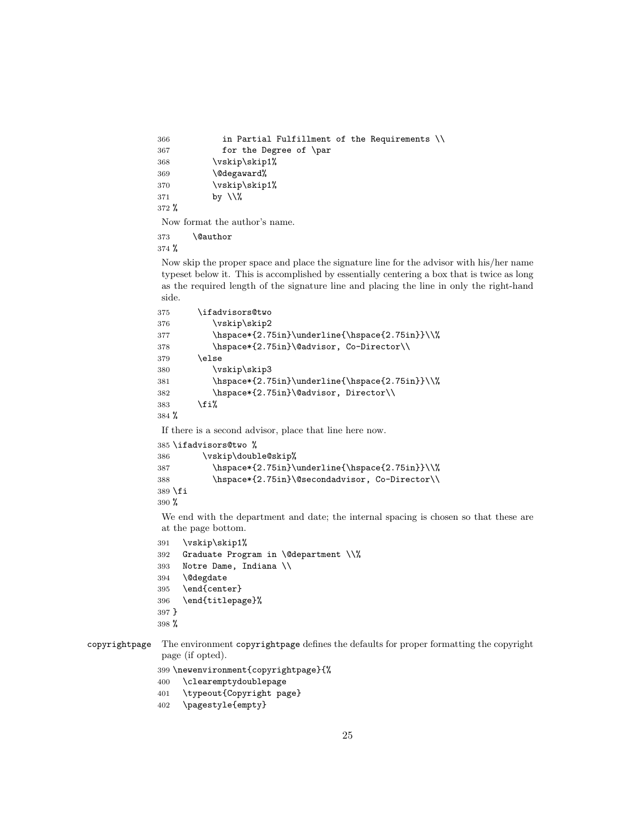```
366 in Partial Fulfillment of the Requirements \\
367 for the Degree of \par
368 \vskip\skip1%
369 \@degaward%
370 \vskip\skip1%
371 by \sqrt{\%}372 %
```
Now format the author's name.

\@author

%

Now skip the proper space and place the signature line for the advisor with his/her name typeset below it. This is accomplished by essentially centering a box that is twice as long as the required length of the signature line and placing the line in only the right-hand side.

```
375 \ifadvisors@two
376 \vskip\skip2
377 \hspace*{2.75in}\underline{\hspace{2.75in}}\\%
378 \hspace*{2.75in}\@advisor, Co-Director\\
379 \else
380 \vskip\skip3
381 \hspace*{2.75in}\underline{\hspace{2.75in}}\\%
382 \hspace*{2.75in}\@advisor, Director\\
383 \fi%
384 %
```
If there is a second advisor, place that line here now.

```
385 \ifadvisors@two %
386 \vskip\double@skip%
387 \hspace*{2.75in}\underline{\hspace{2.75in}}\\%
388 \hspace*{2.75in}\@secondadvisor, Co-Director\\
389 \fi
390 %
```
We end with the department and date; the internal spacing is chosen so that these are at the page bottom.

```
391 \vskip\skip1%
```

```
392 Graduate Program in \@department \\%
```

```
393 Notre Dame, Indiana \\
```

```
394 \@degdate
```

```
395 \end{center}
```

```
396 \end{titlepage}%
```

```
397 }
```

```
398 %
```
copyrightpage The environment copyrightpage defines the defaults for proper formatting the copyright page (if opted).

\newenvironment{copyrightpage}{%

```
400 \clearemptydoublepage
```
\typeout{Copyright page}

```
402 \pagestyle{empty}
```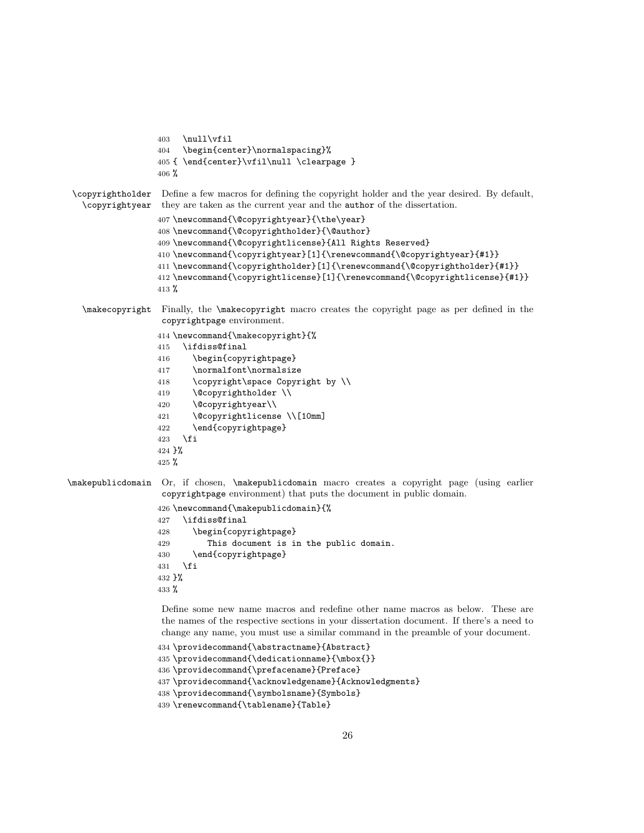```
403 \null\vfil
                  404 \begin{center}\normalspacing}%
                  405 { \end{center}\vfil\null \clearpage }
                  406 %
 \copyrightholder
Define a few macros for defining the copyright holder and the year desired. By default,
  \copyrightyear
                   they are taken as the current year and the author of the dissertation.
                  407 \newcommand{\@copyrightyear}{\the\year}
                  408 \newcommand{\@copyrightholder}{\@author}
                  409 \newcommand{\@copyrightlicense}{All Rights Reserved}
                  410 \newcommand{\copyrightyear}[1]{\renewcommand{\@copyrightyear}{#1}}
                  411 \newcommand{\copyrightholder}[1]{\renewcommand{\@copyrightholder}{#1}}
                  412 \newcommand{\copyrightlicense}[1]{\renewcommand{\@copyrightlicense}{#1}}
                  413 %
   \makecopyright Finally, the \makecopyright macro creates the copyright page as per defined in the
                   copyrightpage environment.
                  414 \newcommand{\makecopyright}{%
                  415 \ifdiss@final
                  416 \begin{copyrightpage}
                  417 \normalfont\normalsize
                  418 \copyright\space Copyright by \\
                  419 \@copyrightholder \\
                  420 \@copyrightyear\\
                  421 \@copyrightlicense \\[10mm]
                  422 \end{copyrightpage}
                  423 \fi
                  424 }%
                  425 %\makepublicdomain Or, if chosen, \makepublicdomain macro creates a copyright page (using earlier
                   copyrightpage environment) that puts the document in public domain.
                  426 \newcommand{\makepublicdomain}{%
                  427 \ifdiss@final
                  428 \begin{copyrightpage}
                  429 This document is in the public domain.
                  430 \end{copyrightpage}
                  431 \fi
                  432 }%
                  433 %
                   Define some new name macros and redefine other name macros as below. These are
                   the names of the respective sections in your dissertation document. If there's a need to
                   change any name, you must use a similar command in the preamble of your document.
                  434 \providecommand{\abstractname}{Abstract}
                  435 \providecommand{\dedicationname}{\mbox{}}
                  436 \providecommand{\prefacename}{Preface}
```

```
437 \providecommand{\acknowledgename}{Acknowledgments}
```

```
438 \providecommand{\symbolsname}{Symbols}
```

```
439 \renewcommand{\tablename}{Table}
```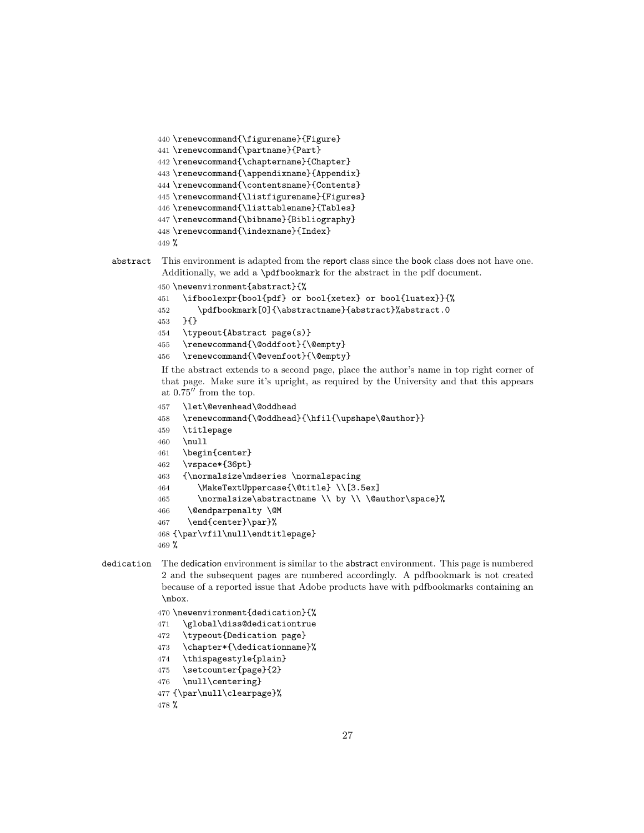```
440 \renewcommand{\figurename}{Figure}
441 \renewcommand{\partname}{Part}
442 \renewcommand{\chaptername}{Chapter}
443 \renewcommand{\appendixname}{Appendix}
444 \renewcommand{\contentsname}{Contents}
445 \renewcommand{\listfigurename}{Figures}
446 \renewcommand{\listtablename}{Tables}
447 \renewcommand{\bibname}{Bibliography}
448 \renewcommand{\indexname}{Index}
449 %
```

```
abstract This environment is adapted from the report class since the book class does not have one.
           Additionally, we add a \pdfbookmark for the abstract in the pdf document.
```

```
450 \newenvironment{abstract}{%
```

```
451 \ifboolexpr{bool{pdf} or bool{xetex} or bool{luatex}}{%
```

```
452 \pdfbookmark[0]{\abstractname}{abstract}%abstract.0
```
- }{}
- \typeout{Abstract page(s)}
- \renewcommand{\@oddfoot}{\@empty}
- \renewcommand{\@evenfoot}{\@empty}

If the abstract extends to a second page, place the author's name in top right corner of that page. Make sure it's upright, as required by the University and that this appears at  $0.75^{\prime\prime}$  from the top.

```
457 \let\@evenhead\@oddhead
```

```
458 \renewcommand{\@oddhead}{\hfil{\upshape\@author}}
```

```
459 \titlepage
```

```
460 \null
```

```
461 \begin{center}
```

```
462 \vspace*{36pt}
```

```
463 {\normalsize\mdseries \normalspacing
```

```
464 \MakeTextUppercase{\@title} \\[3.5ex]
```

```
465 \normalsize\abstractname \\ by \\ \@author\space}%
```

```
466 \@endparpenalty \@M
```

```
467 \end{center}\par}%
```

```
468 {\par\vfil\null\endtitlepage}
```

```
469 %
```

```
dedication The dedication environment is similar to the abstract environment. This page is numbered
             2 and the subsequent pages are numbered accordingly. A pdfbookmark is not created
             because of a reported issue that Adobe products have with pdfbookmarks containing an
             \mbox.
```

```
470 \newenvironment{dedication}{%
```

```
471 \global\diss@dedicationtrue
```

```
472 \typeout{Dedication page}
```
- \chapter\*{\dedicationname}%
- \thispagestyle{plain}
- \setcounter{page}{2}
- \null\centering}

```
477 {\par\null\clearpage}%
```

```
478 %
```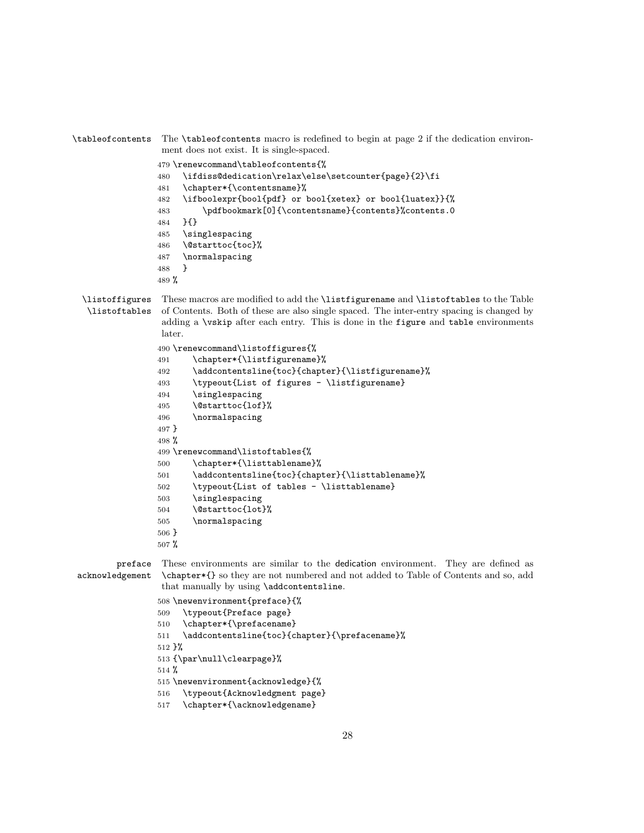\tableofcontents The \tableofcontents macro is redefined to begin at page 2 if the dedication environment does not exist. It is single-spaced. \renewcommand\tableofcontents{% \ifdiss@dedication\relax\else\setcounter{page}{2}\fi \chapter\*{\contentsname}% \ifboolexpr{bool{pdf} or bool{xetex} or bool{luatex}}{% \pdfbookmark[0]{\contentsname}{contents}%contents.0 }{} \singlespacing \@starttoc{toc}% \normalspacing } % \listoffigures \listoftables These macros are modified to add the \listfigurename and \listoftables to the Table of Contents. Both of these are also single spaced. The inter-entry spacing is changed by adding a \vskip after each entry. This is done in the figure and table environments later. \renewcommand\listoffigures{% \chapter\*{\listfigurename}% \addcontentsline{toc}{chapter}{\listfigurename}% \typeout{List of figures - \listfigurename} \singlespacing \@starttoc{lof}% \normalspacing } % \renewcommand\listoftables{% \chapter\*{\listtablename}% \addcontentsline{toc}{chapter}{\listtablename}% \typeout{List of tables - \listtablename} \singlespacing \@starttoc{lot}% \normalspacing } % preface acknowledgement These environments are similar to the dedication environment. They are defined as \chapter\*{} so they are not numbered and not added to Table of Contents and so, add that manually by using \addcontentsline. \newenvironment{preface}{% \typeout{Preface page} \chapter\*{\prefacename}

511 \addcontentsline{toc}{chapter}{\prefacename}%

}%

{\par\null\clearpage}%

%

\newenvironment{acknowledge}{%

- \typeout{Acknowledgment page}
- \chapter\*{\acknowledgename}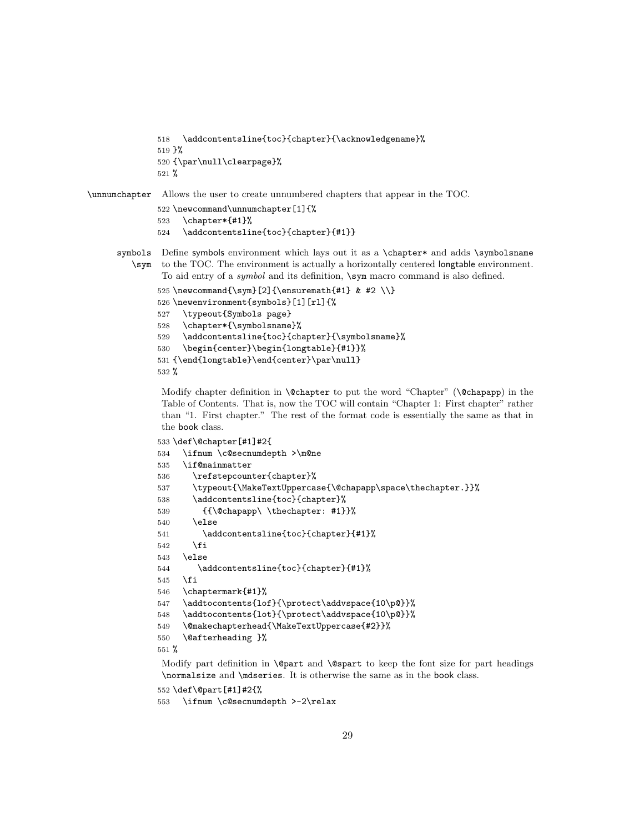```
518 \addcontentsline{toc}{chapter}{\acknowledgename}%
519 }%
520 {\par\null\clearpage}%
521 %
```
#### \unnumchapter Allows the user to create unnumbered chapters that appear in the TOC.

```
522 \newcommand\unnumchapter[1]{%
523 \chapter*{#1}%
524 \addcontentsline{toc}{chapter}{#1}}
```
- symbols Define symbols environment which lays out it as a \chapter\* and adds \symbolsname \sym to the TOC. The environment is actually a horizontally centered longtable environment.
	- To aid entry of a *symbol* and its definition,  $\sum_{s=1}^{\infty}$  and is also defined.

```
525\newcommand{\sym}[2]{\ensuremath{#1} & #2 \\}
526 \newenvironment{symbols}[1][rl]{%
527 \typeout{Symbols page}
528 \chapter*{\symbolsname}%
529 \addcontentsline{toc}{chapter}{\symbolsname}%
530 \begin{center}\begin{longtable}{#1}}%
531 {\end{longtable}\end{center}\par\null}
532 %
```
Modify chapter definition in **\@chapter** to put the word "Chapter" (**\@chapapp**) in the Table of Contents. That is, now the TOC will contain "Chapter 1: First chapter" rather than "1. First chapter." The rest of the format code is essentially the same as that in the book class.

```
533 \def\@chapter[#1]#2{
534 \ifnum \c@secnumdepth >\m@ne
535 \if@mainmatter
536 \refstepcounter{chapter}%
537 \typeout{\MakeTextUppercase{\@chapapp\space\thechapter.}}%
538 \addcontentsline{toc}{chapter}%
539 {{\@chapapp\ \thechapter: #1}}%
540 \else
541 \addcontentsline{toc}{chapter}{#1}%
542 \fi
543 \else
544 \addcontentsline{toc}{chapter}{#1}%
545 \fi
546 \chaptermark{#1}%
547 \addtocontents{lof}{\protect\addvspace{10\p@}}%
548 \addtocontents{lot}{\protect\addvspace{10\p@}}%
549 \@makechapterhead{\MakeTextUppercase{#2}}%
550 \@afterheading }%
551 %
```
Modify part definition in  $\@part$  and  $\@part$  to keep the font size for part headings \normalsize and \mdseries. It is otherwise the same as in the book class.

\def\@part[#1]#2{%

```
553 \ifnum \c@secnumdepth >-2\relax
```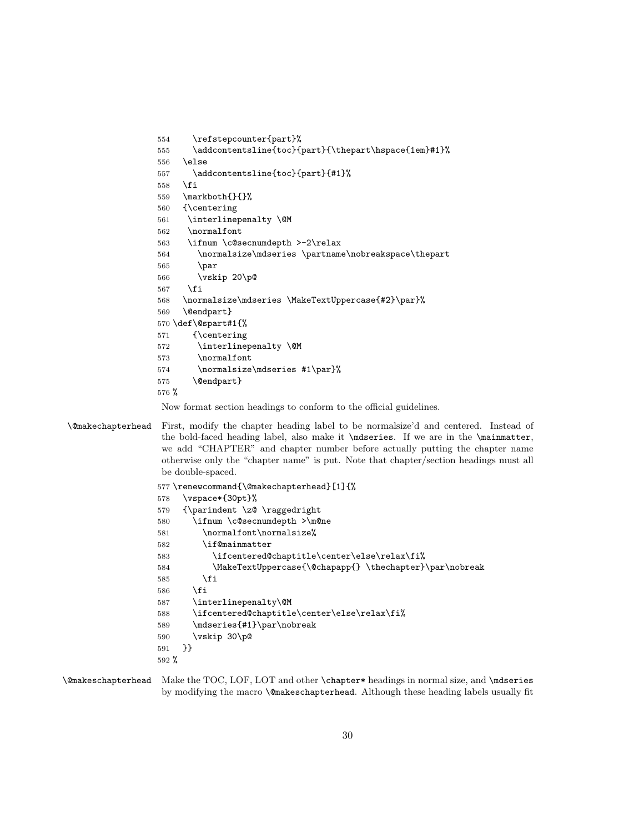```
554 \refstepcounter{part}%
555 \addcontentsline{toc}{part}{\thepart\hspace{1em}#1}%
556 \else
557 \addcontentsline{toc}{part}{#1}%
558 \fi
559 \markboth{}{}%
560 {\centering
561 \interlinepenalty \@M
562 \normalfont
563 \ifnum \c@secnumdepth >-2\relax
564 \normalsize\mdseries \partname\nobreakspace\thepart
565 \par
566 \vskip 20\p@
567 \fi
568 \normalsize\mdseries \MakeTextUppercase{#2}\par}%
569 \@endpart}
570 \def\@spart#1{%
571 {\centering
572 \interlinepenalty \@M
573 \normalfont
574 \normalsize\mdseries #1\par}%
575 \@endpart}
576 %
```
Now format section headings to conform to the official guidelines.

\@makechapterhead First, modify the chapter heading label to be normalsize'd and centered. Instead of the bold-faced heading label, also make it \mdseries. If we are in the \mainmatter, we add "CHAPTER" and chapter number before actually putting the chapter name otherwise only the "chapter name" is put. Note that chapter/section headings must all be double-spaced.

|         | 577 \renewcommand{\@makechapterhead}[1]{%               |
|---------|---------------------------------------------------------|
| 578     | \vspace*{30pt}%                                         |
| 579     | $\partial \zeta$ \raggedright                           |
| 580     | \ifnum \c@secnumdepth >\m@ne                            |
| 581     | \normalfont\normalsize%                                 |
| 582     | \if@mainmatter                                          |
| 583     | \ifcentered@chaptitle\center\else\relax\fi%             |
| 584     | \MakeTextUppercase{\@chapapp{} \thechapter}\par\nobreak |
| 585     | \fi                                                     |
| 586     | \fi                                                     |
| 587     | \interlinepenalty\@M                                    |
| 588     | \ifcentered@chaptitle\center\else\relax\fi%             |
| 589     | \mdseries{#1}\par\nobreak                               |
| 590     | \vskip 30\p@                                            |
| 591     | ንን                                                      |
| $592\%$ |                                                         |

\@makeschapterhead Make the TOC, LOF, LOT and other \chapter\* headings in normal size, and \mdseries by modifying the macro \@makeschapterhead. Although these heading labels usually fit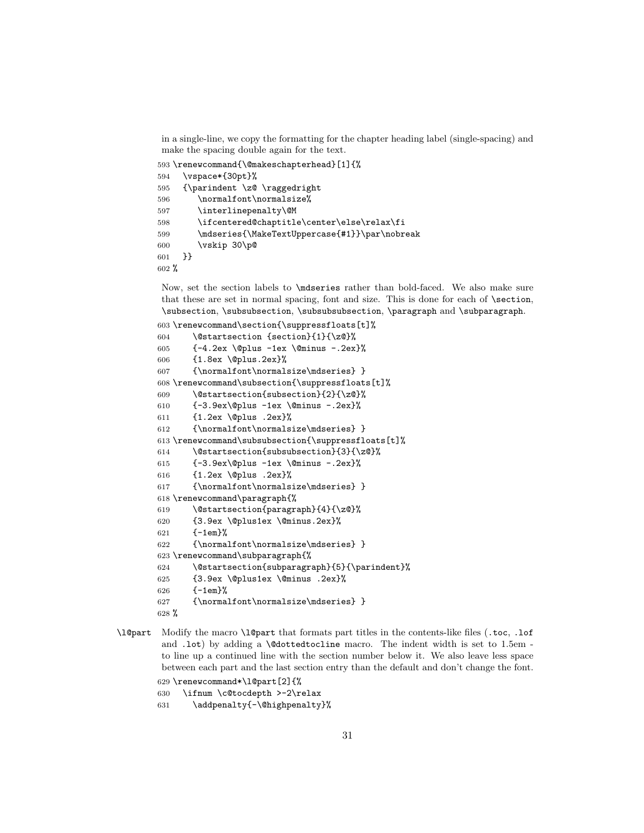in a single-line, we copy the formatting for the chapter heading label (single-spacing) and make the spacing double again for the text.

\renewcommand{\@makeschapterhead}[1]{%

```
594 \vspace*{30pt}%
595 {\parindent \z@ \raggedright
596 \normalfont\normalsize%
597 \interlinepenalty\@M
598 \ifcentered@chaptitle\center\else\relax\fi
599 \mdseries{\MakeTextUppercase{#1}}\par\nobreak
600 \vskip 30\p@
601 }}
602 %
```
Now, set the section labels to \mdseries rather than bold-faced. We also make sure that these are set in normal spacing, font and size. This is done for each of \section, \subsection, \subsubsection, \subsubsubsection, \paragraph and \subparagraph.

```
603 \renewcommand\section{\suppressfloats[t]%
604 \@startsection {section}{1}{\z@}%
605 {-4.2ex \@plus -1ex \@minus -.2ex}%
606 {1.8ex \@plus.2ex}%
607 {\normalfont\normalsize\mdseries} }
608 \renewcommand\subsection{\suppressfloats[t]%
609 \@startsection{subsection}{2}{\z@}%
610 {-3.9ex\@plus -1ex \@minus -.2ex}%
611 {1.2ex \@plus .2ex}%
612 {\normalfont\normalsize\mdseries} }
613 \renewcommand\subsubsection{\suppressfloats[t]%
614 \@startsection{subsubsection}{3}{\z@}%
615 {-3.9ex\@plus -1ex \@minus -.2ex}%
616 {1.2ex \@plus .2ex}%
617 {\normalfont\normalsize\mdseries} }
618 \renewcommand\paragraph{%
619 \@startsection{paragraph}{4}{\z@}%
620 {3.9ex \@plus1ex \@minus.2ex}%
621 {-1em}%
622 {\normalfont\normalsize\mdseries} }
623 \renewcommand\subparagraph{%
624 \@startsection{subparagraph}{5}{\parindent}%
625 {3.9ex \@plus1ex \@minus .2ex}%
626 \{-1 \text{em}\}%
627 {\normalfont\normalsize\mdseries} }
628 %
```
\l@part Modify the macro \l@part that formats part titles in the contents-like files (.toc, .lof and .lot) by adding a \@dottedtocline macro. The indent width is set to 1.5em to line up a continued line with the section number below it. We also leave less space between each part and the last section entry than the default and don't change the font.

```
629 \renewcommand*\l@part[2]{%
630 \ifnum \c@tocdepth >-2\relax
631 \addpenalty{-\@highpenalty}%
```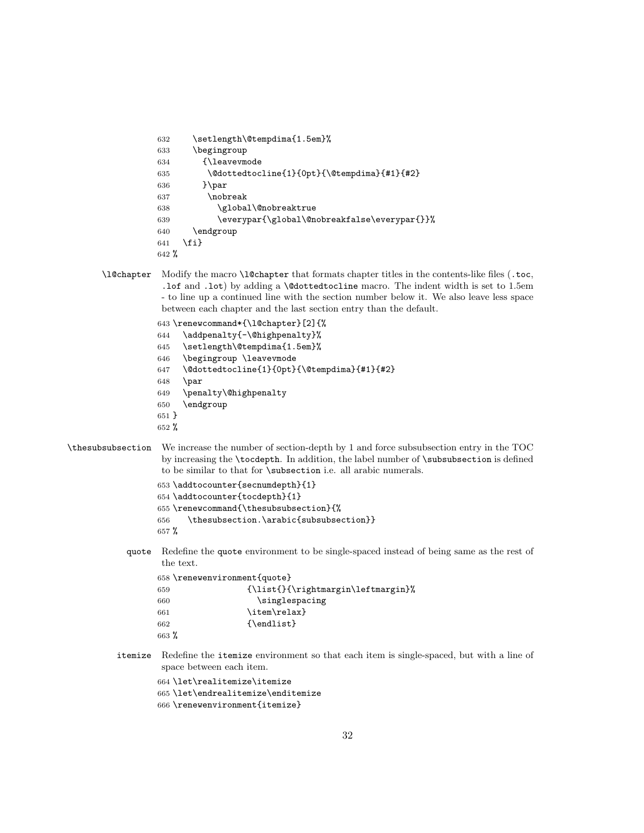```
632 \setlength\@tempdima{1.5em}%
633 \begingroup
634 {\leavevmode
635 \@dottedtocline{1}{0pt}{\@tempdima}{#1}{#2}
636 }\par
637 \nobreak
638 \global\@nobreaktrue
639 \everypar{\global\@nobreakfalse\everypar{}}%
640 \endgroup
641 \fi}
642 %
```
\l@chapter Modify the macro \l@chapter that formats chapter titles in the contents-like files (.toc, .lof and .lot) by adding a \@dottedtocline macro. The indent width is set to 1.5em - to line up a continued line with the section number below it. We also leave less space between each chapter and the last section entry than the default.

> \renewcommand\*{\l@chapter}[2]{% \addpenalty{-\@highpenalty}% \setlength\@tempdima{1.5em}% \begingroup \leavevmode \@dottedtocline{1}{0pt}{\@tempdima}{#1}{#2} \par \penalty\@highpenalty \endgroup }

%

\thesubsubsection We increase the number of section-depth by 1 and force subsubsection entry in the TOC by increasing the \tocdepth. In addition, the label number of \subsubsection is defined to be similar to that for \subsection i.e. all arabic numerals.

> \addtocounter{secnumdepth}{1} \addtocounter{tocdepth}{1} \renewcommand{\thesubsubsection}{% \thesubsection.\arabic{subsubsection}} %

quote Redefine the quote environment to be single-spaced instead of being same as the rest of the text.

|         | 658 \renewenvironment{quote} |  |  |
|---------|------------------------------|--|--|
| 659     | ${\left\{\right\}}$          |  |  |
| 660     | \singlespacing               |  |  |
| 661     | \item\relax}                 |  |  |
| 662     | {\endlist}                   |  |  |
| $663\%$ |                              |  |  |

itemize Redefine the itemize environment so that each item is single-spaced, but with a line of space between each item.

 \let\realitemize\itemize \let\endrealitemize\enditemize

\renewenvironment{itemize}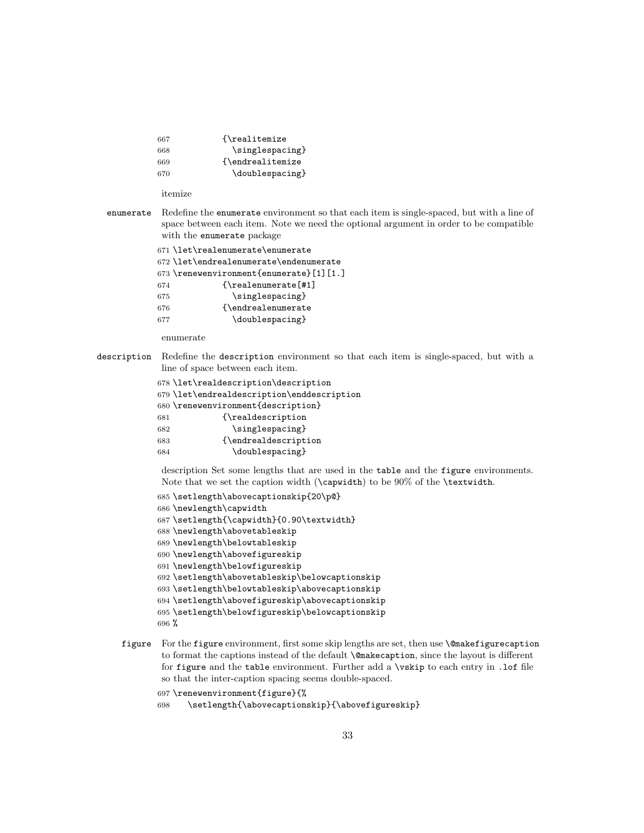| 667 | {\realitemize}    |
|-----|-------------------|
| 668 | \singlespacing}   |
| 669 | {\endrealitemize} |
| 670 | \doublespacing}   |

itemize

enumerate Redefine the enumerate environment so that each item is single-spaced, but with a line of space between each item. Note we need the optional argument in order to be compatible with the enumerate package

```
671 \let\realenumerate\enumerate
672 \let\endrealenumerate\endenumerate
673 \renewenvironment{enumerate}[1][1.]
674 {\realenumerate[#1]
675 \singlespacing}
676 {\endrealenumerate
677 \doublespacing}
```
enumerate

description Redefine the description environment so that each item is single-spaced, but with a line of space between each item.

|     | 678 \let\realdescription\description       |
|-----|--------------------------------------------|
|     | 679 \let\endrealdescription\enddescription |
|     | 680 \renewenvironment{description}         |
| 681 | {\realdescription                          |
| 682 | \singlespacing}                            |
| 683 | {\endrealdescription                       |
| 684 | \doublespacing}                            |
|     |                                            |

description Set some lengths that are used in the table and the figure environments. Note that we set the caption width (\capwidth) to be 90% of the \textwidth.

```
685 \setlength\abovecaptionskip{20\p@}
686 \newlength\capwidth
687 \setlength{\capwidth}{0.90\textwidth}
688 \newlength\abovetableskip
689 \newlength\belowtableskip
690 \newlength\abovefigureskip
691 \newlength\belowfigureskip
692 \setlength\abovetableskip\belowcaptionskip
693 \setlength\belowtableskip\abovecaptionskip
694 \setlength\abovefigureskip\abovecaptionskip
695 \setlength\belowfigureskip\belowcaptionskip
696 %
```
- figure For the figure environment, first some skip lengths are set, then use  $\mathcal{C}$  makefigurecaption to format the captions instead of the default \@makecaption, since the layout is different for figure and the table environment. Further add a \vskip to each entry in .lof file so that the inter-caption spacing seems double-spaced.
	- \renewenvironment{figure}{%
	- \setlength{\abovecaptionskip}{\abovefigureskip}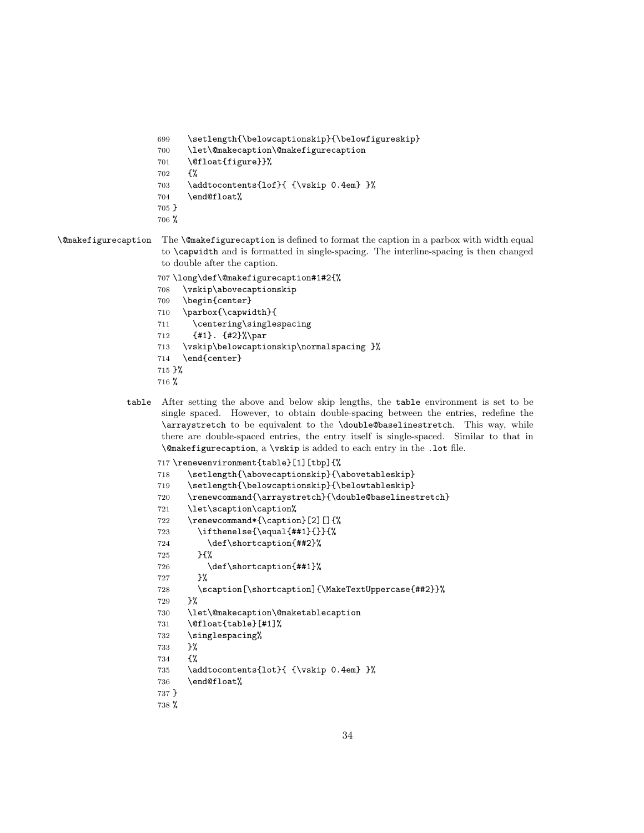```
699 \setlength{\belowcaptionskip}{\belowfigureskip}
700 \let\@makecaption\@makefigurecaption
701 \@float{figure}}%
702 \frac{\text{Y}}{\text{Y}}
```
- 703 \addtocontents{lof}{ {\vskip 0.4em} }%
- \end@float%
- } %

\@makefigurecaption The \@makefigurecaption is defined to format the caption in a parbox with width equal to \capwidth and is formatted in single-spacing. The interline-spacing is then changed to double after the caption.

```
707 \long\def\@makefigurecaption#1#2{%
```
- \vskip\abovecaptionskip
- \begin{center}
- \parbox{\capwidth}{
- \centering\singlespacing
- {#1}. {#2}%\par
- \vskip\belowcaptionskip\normalspacing }%
- \end{center}
- }%
- %
- table After setting the above and below skip lengths, the table environment is set to be single spaced. However, to obtain double-spacing between the entries, redefine the \arraystretch to be equivalent to the \double@baselinestretch. This way, while there are double-spaced entries, the entry itself is single-spaced. Similar to that in \@makefigurecaption, a \vskip is added to each entry in the .lot file.

```
717 \renewenvironment{table}[1][tbp]{%
718 \setlength{\abovecaptionskip}{\abovetableskip}
719 \setlength{\belowcaptionskip}{\belowtableskip}
720 \renewcommand{\arraystretch}{\double@baselinestretch}
721 \let\scaption\caption%
722 \renewcommand*{\caption}[2][]{%
723 \ifthenelse{\equal{##1}{}}{%
724 \def\shortcaption{##2}%
725 }{%
726 \def\shortcaption{##1}%
727 }%
728 \scaption[\shortcaption]{\MakeTextUppercase{##2}}%
729 }%
730 \let\@makecaption\@maketablecaption
731 \@float{table}[#1]%
732 \singlespacing%
733 }%
734 {%
735 \addtocontents{lot}{ {\vskip 0.4em} }%
736 \end@float%
737 }
```

```
738 %
```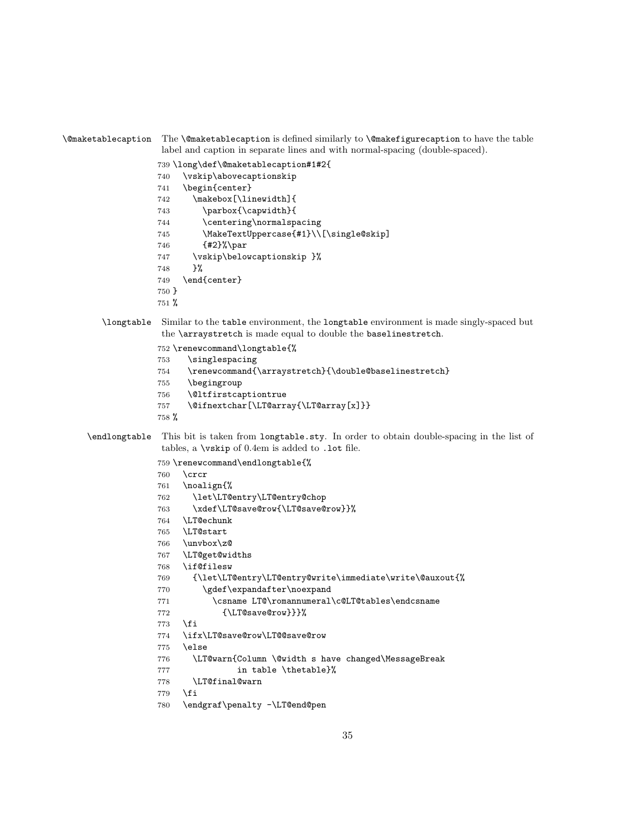```
label and caption in separate lines and with normal-spacing (double-spaced).
             739 \long\def\@maketablecaption#1#2{
             740 \vskip\abovecaptionskip
             741 \begin{center}
             742 \makebox[\linewidth]{
             743 \parbox{\capwidth}{
             744 \centering\normalspacing
             745 \MakeTextUppercase{#1}\\[\single@skip]
             746 {#2}%\par
             747 \vskip\belowcaptionskip }%
             748 }%
             749 \end{center}
             750 }
             751 %
  \longtable Similar to the table environment, the longtable environment is made singly-spaced but
              the \arraystretch is made equal to double the baselinestretch.
             752 \renewcommand\longtable{%
             753 \singlespacing
             754 \renewcommand{\arraystretch}{\double@baselinestretch}
             755 \begingroup
             756 \@ltfirstcaptiontrue
             757 \@ifnextchar[\LT@array{\LT@array[x]}}
             758 %
\endlongtable This bit is taken from longtable.sty. In order to obtain double-spacing in the list of
              tables, a \vskip of 0.4em is added to .lot file.
             759 \renewcommand\endlongtable{%
             760 \crcr
             761 \noalign{%
             762 \let\LT@entry\LT@entry@chop
             763 \xdef\LT@save@row{\LT@save@row}}%
             764 \LT@echunk
             765 \LT@start
             766 \unvbox\z@
             767 \LT@get@widths
             768 \if@filesw
             769 {\let\LT@entry\LT@entry@write\immediate\write\@auxout{%
             770 \gdef\expandafter\noexpand
             771 \csname LT@\romannumeral\c@LT@tables\endcsname
             772 {\LT@save@row}}}%
             773 \fi
             774 \ifx\LT@save@row\LT@@save@row
             775 \else
             776 \LT@warn{Column \@width s have changed\MessageBreak
             777 in table \thetable}%
             778 \LT@final@warn
             779 \fi
             780 \endgraf\penalty -\LT@end@pen
```
\@maketablecaption The \@maketablecaption is defined similarly to \@makefigurecaption to have the table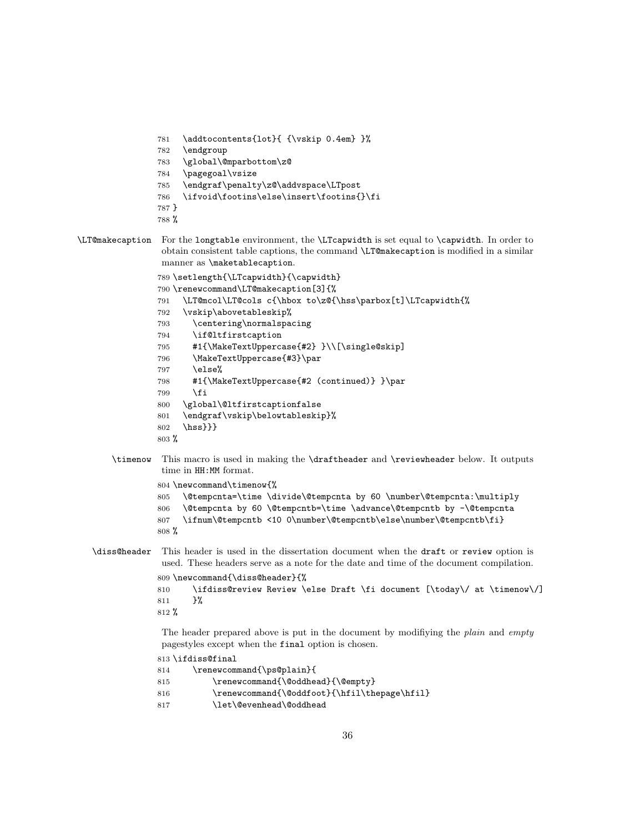```
781 \addtocontents{lot}{ {\vskip 0.4em} }%
782 \endgroup
783 \global\@mparbottom\z@
784 \pagegoal\vsize
785 \endgraf\penalty\z@\addvspace\LTpost
786 \ifvoid\footins\else\insert\footins{}\fi
787 }
```

```
788 %
```

```
\LT@makecaption For the longtable environment, the \LTcapwidth is set equal to \capwidth. In order to
                  obtain consistent table captions, the command \LT@makecaption is modified in a similar
                  manner as \maketablecaption.
```

```
789 \setlength{\LTcapwidth}{\capwidth}
790 \renewcommand\LT@makecaption[3]{%
```

```
791 \LT@mcol\LT@cols c{\hbox to\z@{\hss\parbox[t]\LTcapwidth{%
```

```
792 \vskip\abovetableskip%
```

```
793 \centering\normalspacing
```
- \if@ltfirstcaption
- #1{\MakeTextUppercase{#2} }\\[\single@skip]
- \MakeTextUppercase{#3}\par
- \else%

```
798 #1{\MakeTextUppercase{#2 (continued)} }\par
```
- \fi
- \global\@ltfirstcaptionfalse
- \endgraf\vskip\belowtableskip}%
- \hss}}}
- %
- \timenow This macro is used in making the \draftheader and \reviewheader below. It outputs time in HH:MM format.

```
804 \newcommand\timenow{%
```

```
805 \@tempcnta=\time \divide\@tempcnta by 60 \number\@tempcnta:\multiply
806 \@tempcnta by 60 \@tempcntb=\time \advance\@tempcntb by -\@tempcnta
807 \ifnum\@tempcntb <10 0\number\@tempcntb\else\number\@tempcntb\fi}
808 %
```

```
\diss@header This header is used in the dissertation document when the draft or review option is
               used. These headers serve as a note for the date and time of the document compilation.
```

```
809 \newcommand{\diss@header}{%
```

```
810 \ifdiss@review Review \else Draft \fi document [\today\/ at \timenow\/]
811 }%
812 %
```
The header prepared above is put in the document by modifiying the *plain* and *empty* pagestyles except when the final option is chosen.

- \ifdiss@final
- \renewcommand{\ps@plain}{
- \renewcommand{\@oddhead}{\@empty}
- 816 \renewcommand{\@oddfoot}{\hfil\thepage\hfil}
- \let\@evenhead\@oddhead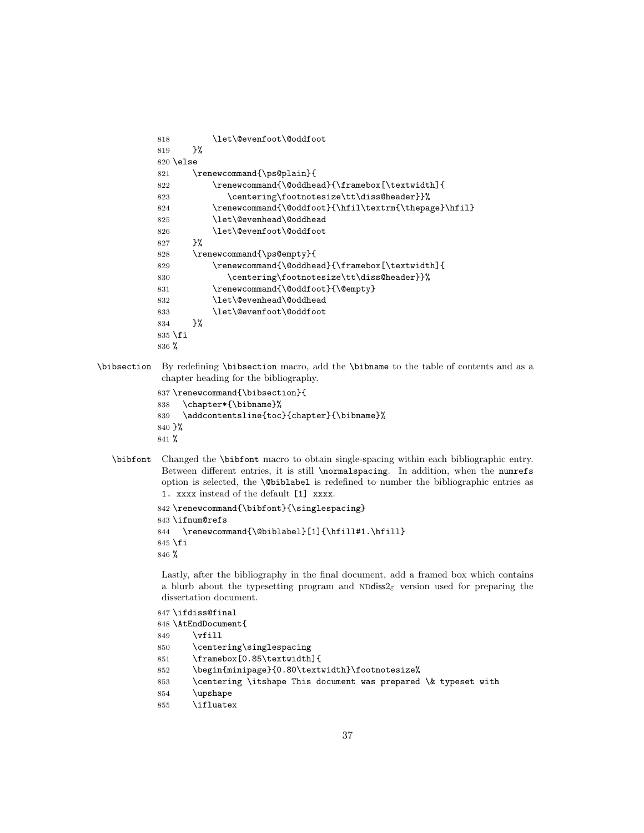```
818 \let\@evenfoot\@oddfoot
819 }%
820 \lambdaelse
821 \renewcommand{\ps@plain}{
822 \renewcommand{\@oddhead}{\framebox[\textwidth]{
823 \centering\footnotesize\tt\diss@header}}%
824 \renewcommand{\@oddfoot}{\hfil\textrm{\thepage}\hfil}
825 \let\@evenhead\@oddhead
826 \let\@evenfoot\@oddfoot
827 }%
828 \renewcommand{\ps@empty}{
829 \renewcommand{\@oddhead}{\framebox[\textwidth]{
830 \centering\footnotesize\tt\diss@header}}%
831 \renewcommand{\@oddfoot}{\@empty}
832 \let\@evenhead\@oddhead
833 \let\@evenfoot\@oddfoot
834 }%
835 \fi
836 %
```
\bibsection By redefining \bibsection macro, add the \bibname to the table of contents and as a chapter heading for the bibliography.

```
837 \renewcommand{\bibsection}{
838 \chapter*{\bibname}%
839 \addcontentsline{toc}{chapter}{\bibname}%
840 }%
841 %
```
\bibfont Changed the \bibfont macro to obtain single-spacing within each bibliographic entry. Between different entries, it is still \normalspacing. In addition, when the numrefs option is selected, the \@biblabel is redefined to number the bibliographic entries as 1. xxxx instead of the default [1] xxxx.

```
842 \renewcommand{\bibfont}{\singlespacing}
843 \ifnum@refs
844 \renewcommand{\@biblabel}[1]{\hfill#1.\hfill}
845 \fi
846 %
```
Lastly, after the bibliography in the final document, add a framed box which contains a blurb about the typesetting program and  $N\text{Ddiss2}_{\varepsilon}$  version used for preparing the dissertation document.

```
847 \ifdiss@final
```

```
848 \AtEndDocument{
849 \forallfill
850 \centering\singlespacing
851 \framebox[0.85\textwidth]{
852 \begin{minipage}{0.80\textwidth}\footnotesize%
853 \centering \itshape This document was prepared \& typeset with
854 \upshape
855 \ifluatex
```